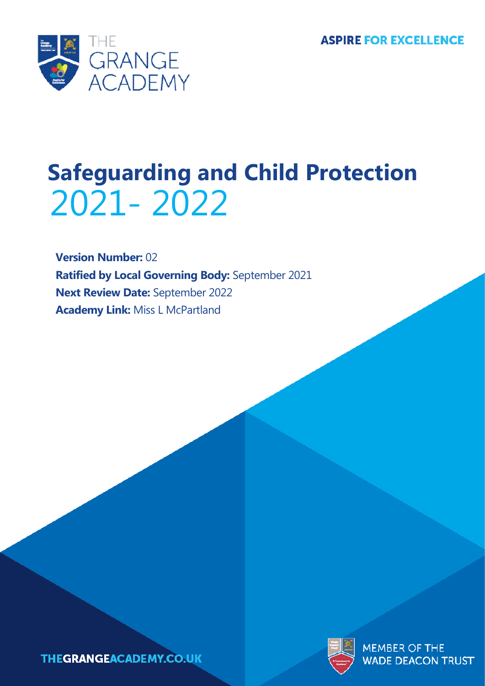

# 2021- 2022 **Safeguarding and Child Protection**

**Version Number:** 02 **Ratified by Local Governing Body:** September 2021 **Next Review Date:** September 2022 **Academy Link:** Miss L McPartland





**MEMBER OF THE WADE DEACON TRUST**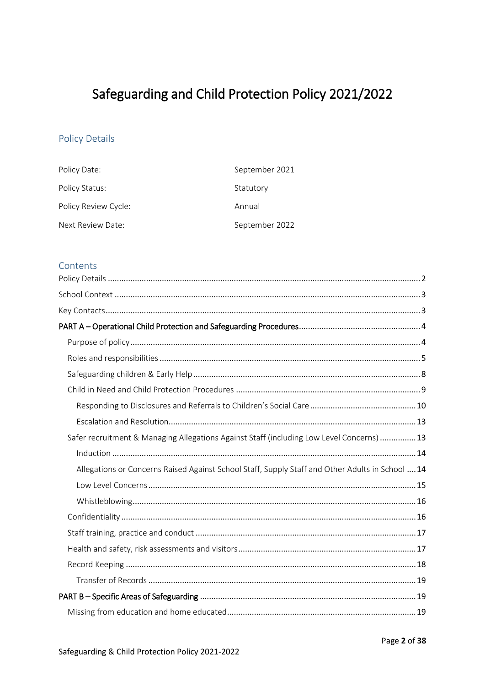# Safeguarding and Child Protection Policy 2021/2022

# <span id="page-1-0"></span>**Policy Details**

| Policy Date:         | September 2021 |
|----------------------|----------------|
| Policy Status:       | Statutory      |
| Policy Review Cycle: | Annual         |
| Next Review Date:    | September 2022 |

#### Contents

| Safer recruitment & Managing Allegations Against Staff (including Low Level Concerns)  13        |
|--------------------------------------------------------------------------------------------------|
|                                                                                                  |
| Allegations or Concerns Raised Against School Staff, Supply Staff and Other Adults in School  14 |
|                                                                                                  |
|                                                                                                  |
|                                                                                                  |
|                                                                                                  |
|                                                                                                  |
|                                                                                                  |
|                                                                                                  |
|                                                                                                  |
|                                                                                                  |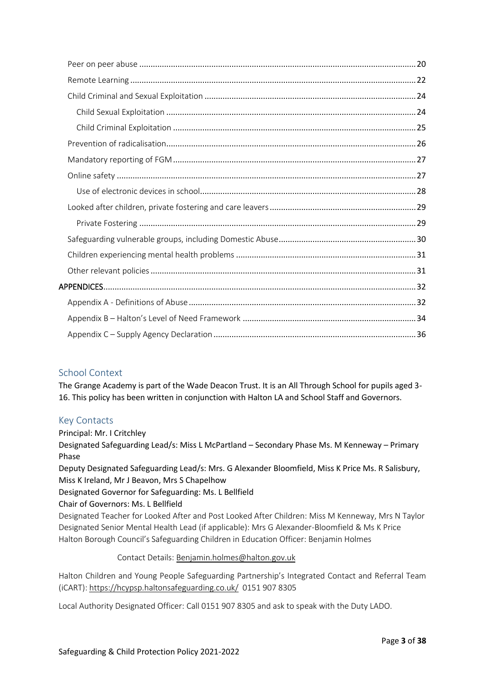# <span id="page-2-0"></span>School Context

The Grange Academy is part of the Wade Deacon Trust. It is an All Through School for pupils aged 3- 16. This policy has been written in conjunction with Halton LA and School Staff and Governors.

# <span id="page-2-1"></span>Key Contacts

Principal: Mr. I Critchley

Designated Safeguarding Lead/s: Miss L McPartland – Secondary Phase Ms. M Kenneway – Primary Phase

Deputy Designated Safeguarding Lead/s: Mrs. G Alexander Bloomfield, Miss K Price Ms. R Salisbury, Miss K Ireland, Mr J Beavon, Mrs S Chapelhow

# Designated Governor for Safeguarding: Ms. L Bellfield

Chair of Governors: Ms. L Bellfield

Designated Teacher for Looked After and Post Looked After Children: Miss M Kenneway, Mrs N Taylor Designated Senior Mental Health Lead (if applicable): Mrs G Alexander-Bloomfield & Ms K Price Halton Borough Council's Safeguarding Children in Education Officer: Benjamin Holmes

#### Contact Details: [Benjamin.holmes@halton.gov.uk](mailto:Benjamin.holmes@halton.gov.uk)

Halton Children and Young People Safeguarding Partnership's Integrated Contact and Referral Team (iCART): <https://hcypsp.haltonsafeguarding.co.uk/>0151 907 8305

Local Authority Designated Officer: Call 0151 907 8305 and ask to speak with the Duty LADO.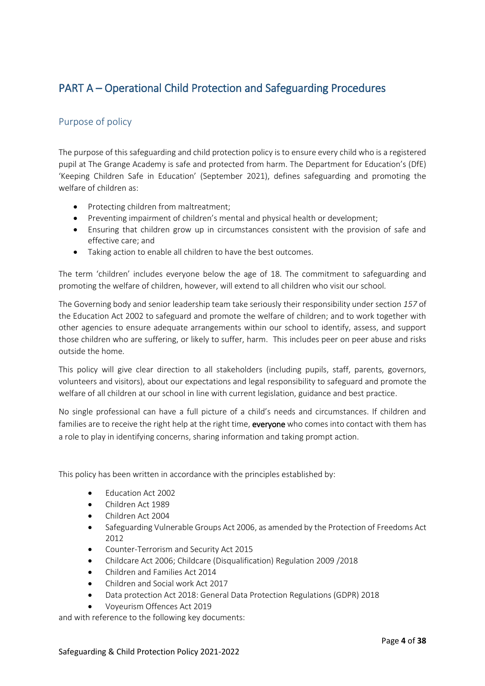# <span id="page-3-0"></span>PART A – Operational Child Protection and Safeguarding Procedures

# <span id="page-3-1"></span>Purpose of policy

The purpose of this safeguarding and child protection policy is to ensure every child who is a registered pupil at The Grange Academy is safe and protected from harm. The Department for Education's (DfE) 'Keeping Children Safe in Education' (September 2021), defines safeguarding and promoting the welfare of children as:

- Protecting children from maltreatment;
- Preventing impairment of children's mental and physical health or development;
- Ensuring that children grow up in circumstances consistent with the provision of safe and effective care; and
- Taking action to enable all children to have the best outcomes.

The term 'children' includes everyone below the age of 18. The commitment to safeguarding and promoting the welfare of children, however, will extend to all children who visit our school.

The Governing body and senior leadership team take seriously their responsibility under section *157* of the Education Act 2002 to safeguard and promote the welfare of children; and to work together with other agencies to ensure adequate arrangements within our school to identify, assess, and support those children who are suffering, or likely to suffer, harm. This includes peer on peer abuse and risks outside the home.

This policy will give clear direction to all stakeholders (including pupils, staff, parents, governors, volunteers and visitors), about our expectations and legal responsibility to safeguard and promote the welfare of all children at our school in line with current legislation, guidance and best practice.

No single professional can have a full picture of a child's needs and circumstances. If children and families are to receive the right help at the right time, everyone who comes into contact with them has a role to play in identifying concerns, sharing information and taking prompt action.

This policy has been written in accordance with the principles established by:

- [Education Act 2002](http://www.legislation.gov.uk/ukpga/2002/32/contents)
- [Children Act 1989](http://www.legislation.gov.uk/ukpga/1989/41/contents)
- [Children Act 2004](http://www.legislation.gov.uk/ukpga/2004/31/contents)
- [Safeguarding Vulnerable Groups Act 2006,](http://www.legislation.gov.uk/ukpga/2006/47/contents) as amended by the [Protection of Freedoms Act](http://www.legislation.gov.uk/ukpga/2012/9/contents/enacted)  [2012](http://www.legislation.gov.uk/ukpga/2012/9/contents/enacted)
- [Counter-Terrorism and Security Act 2015](http://www.legislation.gov.uk/ukpga/2015/6/contents/enacted)
- [Childcare Act 2006;](http://www.legislation.gov.uk/ukpga/2006/21/contents) [Childcare \(Disqualification\) Regulation 2009](http://www.legislation.gov.uk/uksi/2009/1547/contents/made) /2018
- [Children and Families Act 2014](http://www.legislation.gov.uk/ukpga/2014/6/contents/enacted)
- Children and Social work Act 2017
- Data protection Act 2018: General Data Protection Regulations (GDPR) 2018
- [Voyeurism Offences Act 2019](https://assets.publishing.service.gov.uk/government/uploads/system/uploads/attachment_data/file/790549/circular-voyeurism-offences-act-2019.pdf)

and with reference to the following key documents: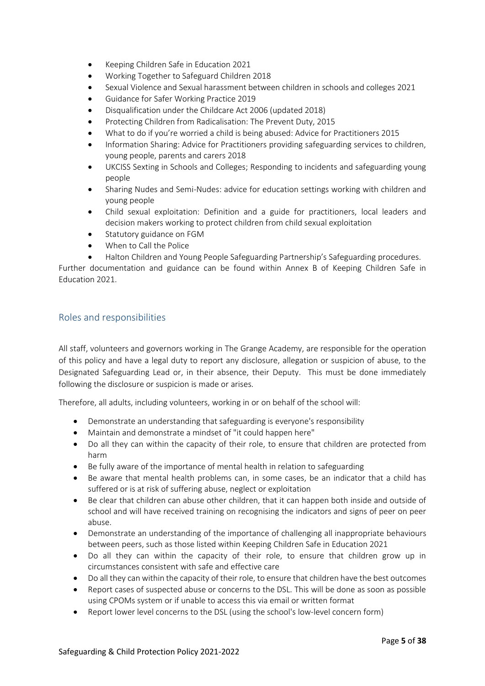- Keeping Children Safe in Education 2021
- [Working Together to Safeguard Children 2018](https://www.gov.uk/government/publications/working-together-to-safeguard-children--2)
- Sexual Violence and Sexual harassment between children in schools and colleges 2021
- Guidance for Safer Working Practice 2019
- Disqualification under the Childcare Act 2006 (updated 2018)
- [Protecting Children from Radicalisation: The Prevent Duty, 2015](https://www.gov.uk/government/publications/prevent-duty-guidance)
- [What to do if you're worried a child is being abused: Advice for Practitioners 2015](https://www.gov.uk/government/publications/what-to-do-if-youre-worried-a-child-is-being-abused--2)
- [Information Sharing: Advice for Practitioners providing safeguarding services to children,](https://www.gov.uk/government/publications/safeguarding-practitioners-information-sharing-advice)  [young people, parents and carers 2018](https://www.gov.uk/government/publications/safeguarding-practitioners-information-sharing-advice)
- [UKCISS Sexting in Schools and Colleges; Responding to incidents and safeguarding young](https://www.gov.uk/government/uploads/system/uploads/attachment_data/file/551575/6.2439_KG_NCA_Sexting_in_Schools_WEB__1_.PDF)  [people](https://www.gov.uk/government/uploads/system/uploads/attachment_data/file/551575/6.2439_KG_NCA_Sexting_in_Schools_WEB__1_.PDF)
- Sharing Nudes and Semi-Nudes: advice for education settings working with children and young people
- [Child sexual exploitation: Definition and a guide for practitioners, local leaders and](https://www.gov.uk/government/publications/child-sexual-exploitation-definition-and-guide-for-practitioners)  [decision makers working to protect children from child sexual exploitation](https://www.gov.uk/government/publications/child-sexual-exploitation-definition-and-guide-for-practitioners)
- [Statutory guidance on FGM](https://www.gov.uk/government/uploads/system/uploads/attachment_data/file/512906/Multi_Agency_Statutory_Guidance_on_FGM__-_FINAL.pdf)
- [When to Call the Police](https://www.npcc.police.uk/documents/Children%20and%20Young%20people/When%20to%20call%20the%20police%20guidance%20for%20schools%20and%20colleges.pdf)
- Halton Children and Young [People Safeguarding Partnership's Safeguardin](https://hcypsp.haltonsafeguarding.co.uk/)g procedures.

Further documentation and guidance can be found within Annex B of Keeping Children Safe in Education 2021.

#### <span id="page-4-0"></span>Roles and responsibilities

All staff, volunteers and governors working in The Grange Academy, are responsible for the operation of this policy and have a legal duty to report any disclosure, allegation or suspicion of abuse, to the Designated Safeguarding Lead or, in their absence, their Deputy. This must be done immediately following the disclosure or suspicion is made or arises.

Therefore, all adults, including volunteers, working in or on behalf of the school will:

- Demonstrate an understanding that safeguarding is everyone's responsibility
- Maintain and demonstrate a mindset of "it could happen here"
- Do all they can within the capacity of their role, to ensure that children are protected from harm
- Be fully aware of the importance of mental health in relation to safeguarding
- Be aware that mental health problems can, in some cases, be an indicator that a child has suffered or is at risk of suffering abuse, neglect or exploitation
- Be clear that children can abuse other children, that it can happen both inside and outside of school and will have received training on recognising the indicators and signs of peer on peer abuse.
- Demonstrate an understanding of the importance of challenging all inappropriate behaviours between peers, such as those listed within Keeping Children Safe in Education 2021
- Do all they can within the capacity of their role, to ensure that children grow up in circumstances consistent with safe and effective care
- Do all they can within the capacity of their role, to ensure that children have the best outcomes
- Report cases of suspected abuse or concerns to the DSL. This will be done as soon as possible using CPOMs system or if unable to access this via email or written format
- Report lower level concerns to the DSL (using the school's low-level concern form)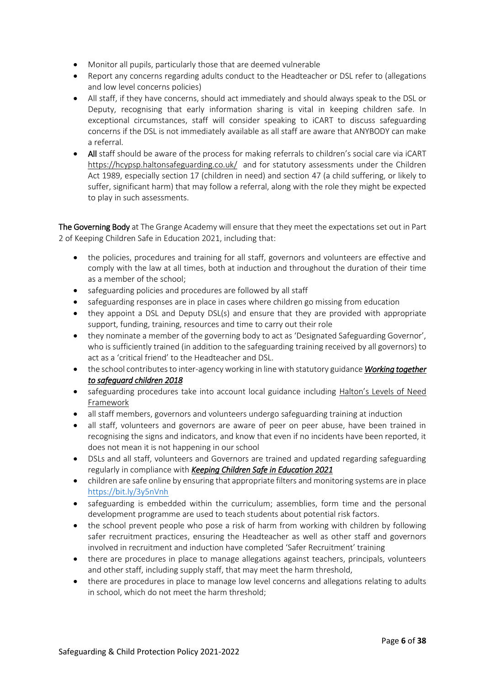- Monitor all pupils, particularly those that are deemed vulnerable
- Report any concerns regarding adults conduct to the Headteacher or DSL refer to (allegations and low level concerns policies)
- All staff, if they have concerns, should act immediately and should always speak to the DSL or Deputy, recognising that early information sharing is vital in keeping children safe. In exceptional circumstances, staff will consider speaking to iCART to discuss safeguarding concerns if the DSL is not immediately available as all staff are aware that ANYBODY can make a referral.
- All staff should be aware of the process for making referrals to children's social care via iCART <https://hcypsp.haltonsafeguarding.co.uk/>and for statutory assessments under the Children Act 1989, especially section 17 (children in need) and section 47 (a child suffering, or likely to suffer, significant harm) that may follow a referral, along with the role they might be expected to play in such assessments.

The Governing Body at The Grange Academy will ensure that they meet the expectations set out in Part 2 of Keeping Children Safe in Education 2021, including that:

- the policies, procedures and training for all staff, governors and volunteers are effective and comply with the law at all times, both at induction and throughout the duration of their time as a member of the school;
- safeguarding policies and procedures are followed by all staff
- safeguarding responses are in place in cases where children go missing from education
- they appoint a DSL and Deputy DSL(s) and ensure that they are provided with appropriate support, funding, training, resources and time to carry out their role
- they nominate a member of the governing body to act as 'Designated Safeguarding Governor', who is sufficiently trained (in addition to the safeguarding training received by all governors) to act as a 'critical friend' to the Headteacher and DSL.
- the school contributes to inter-agency working in line with statutory guidance *[Working together](https://www.gov.uk/government/publications/working-together-to-safeguard-children--2)  [to safeguard children 2018](https://www.gov.uk/government/publications/working-together-to-safeguard-children--2)*
- safeguarding procedures take into account local guidance including [Halton's Levels of Need](https://haltonchildrenstrust.co.uk/halton-levels-of-need/)  [Framework](https://haltonchildrenstrust.co.uk/halton-levels-of-need/)
- all staff members, governors and volunteers undergo safeguarding training at induction
- all staff, volunteers and governors are aware of peer on peer abuse, have been trained in recognising the signs and indicators, and know that even if no incidents have been reported, it does not mean it is not happening in our school
- DSLs and all staff, volunteers and Governors are trained and updated regarding safeguarding regularly in compliance with *[Keeping Children Safe in Education 2021](https://www.gov.uk/government/publications/keeping-children-safe-in-education--2)*
- children are safe online by ensuring that appropriate filters and monitoring systems are in place <https://bit.ly/3y5nVnh>
- safeguarding is embedded within the curriculum; assemblies, form time and the personal development programme are used to teach students about potential risk factors.
- the school prevent people who pose a risk of harm from working with children by following safer recruitment practices, ensuring the Headteacher as well as other staff and governors involved in recruitment and induction have completed 'Safer Recruitment' training
- there are procedures in place to manage allegations against teachers, principals, volunteers and other staff, including supply staff, that may meet the harm threshold,
- there are procedures in place to manage low level concerns and allegations relating to adults in school, which do not meet the harm threshold;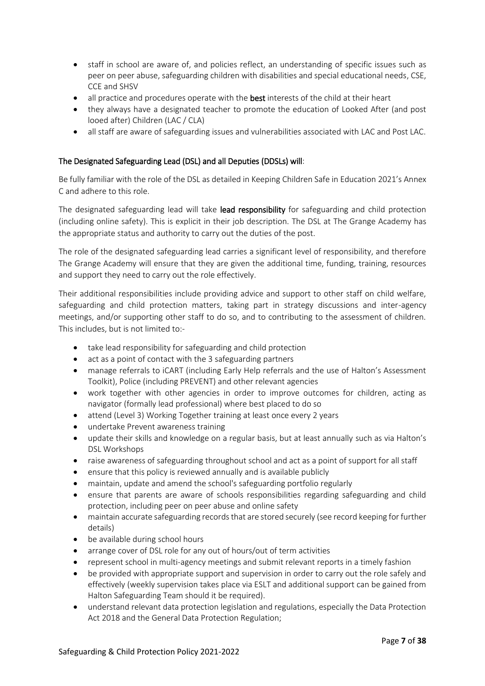- staff in school are aware of, and policies reflect, an understanding of specific issues such as peer on peer abuse, safeguarding children with disabilities and special educational needs, CSE, CCE and SHSV
- all practice and procedures operate with the best interests of the child at their heart
- they always have a designated teacher to promote the education of Looked After (and post looed after) Children (LAC / CLA)
- all staff are aware of safeguarding issues and vulnerabilities associated with LAC and Post LAC.

#### The Designated Safeguarding Lead (DSL) and all Deputies (DDSLs) will:

Be fully familiar with the role of the DSL as detailed in Keeping Children Safe in Education 2021's Annex C and adhere to this role.

The designated safeguarding lead will take lead responsibility for safeguarding and child protection (including online safety). This is explicit in their job description. The DSL at The Grange Academy has the appropriate status and authority to carry out the duties of the post.

The role of the designated safeguarding lead carries a significant level of responsibility, and therefore The Grange Academy will ensure that they are given the additional time, funding, training, resources and support they need to carry out the role effectively.

Their additional responsibilities include providing advice and support to other staff on child welfare, safeguarding and child protection matters, taking part in strategy discussions and inter-agency meetings, and/or supporting other staff to do so, and to contributing to the assessment of children. This includes, but is not limited to:-

- take lead responsibility for safeguarding and child protection
- act as a point of contact with the 3 safeguarding partners
- manage referrals to iCART (including Early Help referrals and the use of Halton's Assessment Toolkit), Police (including PREVENT) and other relevant agencies
- work together with other agencies in order to improve outcomes for children, acting as navigator (formally lead professional) where best placed to do so
- attend (Level 3) Working Together training at least once every 2 years
- undertake Prevent awareness training
- update their skills and knowledge on a regular basis, but at least annually such as via Halton's DSL Workshops
- raise awareness of safeguarding throughout school and act as a point of support for all staff
- ensure that this policy is reviewed annually and is available publicly
- maintain, update and amend the school's safeguarding portfolio regularly
- ensure that parents are aware of schools responsibilities regarding safeguarding and child protection, including peer on peer abuse and online safety
- maintain accurate safeguarding records that are stored securely (see record keeping for further details)
- be available during school hours
- arrange cover of DSL role for any out of hours/out of term activities
- represent school in multi-agency meetings and submit relevant reports in a timely fashion
- be provided with appropriate support and supervision in order to carry out the role safely and effectively (weekly supervision takes place via ESLT and additional support can be gained from Halton Safeguarding Team should it be required).
- understand relevant data protection legislation and regulations, especially the Data Protection Act 2018 and the General Data Protection Regulation;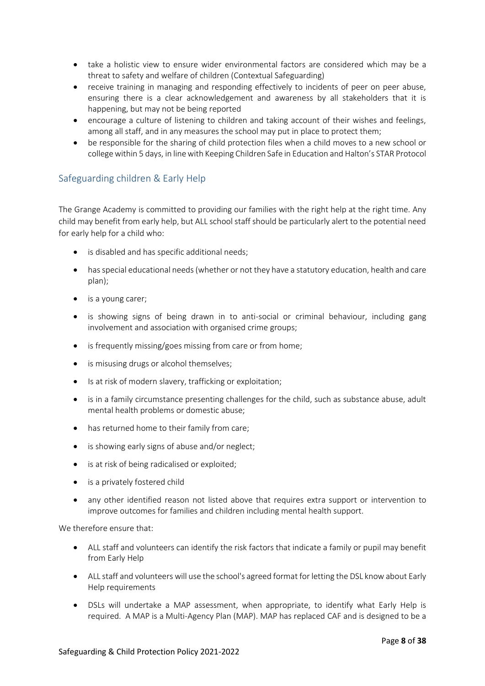- take a holistic view to ensure wider environmental factors are considered which may be a threat to safety and welfare of children (Contextual Safeguarding)
- receive training in managing and responding effectively to incidents of peer on peer abuse, ensuring there is a clear acknowledgement and awareness by all stakeholders that it is happening, but may not be being reported
- encourage a culture of listening to children and taking account of their wishes and feelings, among all staff, and in any measures the school may put in place to protect them;
- be responsible for the sharing of child protection files when a child moves to a new school or collegewithin 5 days, in line with Keeping Children Safe in Education and Halton's STAR Protocol

# <span id="page-7-0"></span>Safeguarding children & Early Help

The Grange Academy is committed to providing our families with the right help at the right time. Any child may benefit from early help, but ALL school staff should be particularly alert to the potential need for early help for a child who:

- is disabled and has specific additional needs;
- has special educational needs (whether or not they have a statutory education, health and care plan);
- is a young carer;
- is showing signs of being drawn in to anti-social or criminal behaviour, including gang involvement and association with organised crime groups;
- is frequently missing/goes missing from care or from home;
- is misusing drugs or alcohol themselves;
- Is at risk of modern slavery, trafficking or exploitation;
- is in a family circumstance presenting challenges for the child, such as substance abuse, adult mental health problems or domestic abuse;
- has returned home to their family from care;
- is showing early signs of abuse and/or neglect;
- is at risk of being radicalised or exploited;
- is a privately fostered child
- any other identified reason not listed above that requires extra support or intervention to improve outcomes for families and children including mental health support.

We therefore ensure that:

- ALL staff and volunteers can identify the risk factors that indicate a family or pupil may benefit from Early Help
- ALL staff and volunteers will use the school's agreed format for letting the DSL know about Early Help requirements
- DSLs will undertake a MAP assessment, when appropriate, to identify what Early Help is required. A MAP is a Multi-Agency Plan (MAP). MAP has replaced CAF and is designed to be a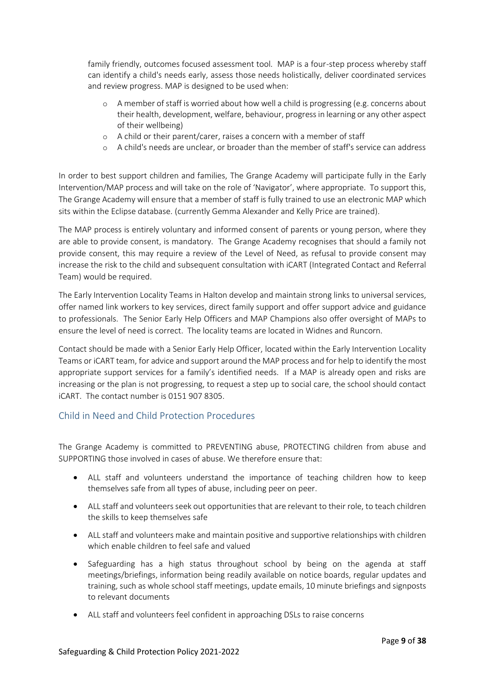family friendly, outcomes focused assessment tool. MAP is a four-step process whereby staff can identify a child's needs early, assess those needs holistically, deliver coordinated services and review progress. MAP is designed to be used when:

- o A member of staff is worried about how well a child is progressing (e.g. concerns about their health, development, welfare, behaviour, progress in learning or any other aspect of their wellbeing)
- o A child or their parent/carer, raises a concern with a member of staff
- o A child's needs are unclear, or broader than the member of staff's service can address

In order to best support children and families, The Grange Academy will participate fully in the Early Intervention/MAP process and will take on the role of 'Navigator', where appropriate. To support this, The Grange Academy will ensure that a member of staff is fully trained to use an electronic MAP which sits within the Eclipse database. (currently Gemma Alexander and Kelly Price are trained).

The MAP process is entirely voluntary and informed consent of parents or young person, where they are able to provide consent, is mandatory. The Grange Academy recognises that should a family not provide consent, this may require a review of the Level of Need, as refusal to provide consent may increase the risk to the child and subsequent consultation with iCART (Integrated Contact and Referral Team) would be required.

The Early Intervention Locality Teams in Halton develop and maintain strong links to universal services, offer named link workers to key services, direct family support and offer support advice and guidance to professionals. The Senior Early Help Officers and MAP Champions also offer oversight of MAPs to ensure the level of need is correct. The locality teams are located in Widnes and Runcorn.

Contact should be made with a Senior Early Help Officer, located within the Early Intervention Locality Teams or iCART team, for advice and support around the MAP process and for help to identify the most appropriate support services for a family's identified needs. If a MAP is already open and risks are increasing or the plan is not progressing, to request a step up to social care, the school should contact iCART. The contact number is 0151 907 8305.

# <span id="page-8-0"></span>Child in Need and Child Protection Procedures

The Grange Academy is committed to PREVENTING abuse, PROTECTING children from abuse and SUPPORTING those involved in cases of abuse. We therefore ensure that:

- ALL staff and volunteers understand the importance of teaching children how to keep themselves safe from all types of abuse, including peer on peer.
- ALL staff and volunteers seek out opportunities that are relevant to their role, to teach children the skills to keep themselves safe
- ALL staff and volunteers make and maintain positive and supportive relationships with children which enable children to feel safe and valued
- Safeguarding has a high status throughout school by being on the agenda at staff meetings/briefings, information being readily available on notice boards, regular updates and training, such as whole school staff meetings, update emails, 10 minute briefings and signposts to relevant documents
- ALL staff and volunteers feel confident in approaching DSLs to raise concerns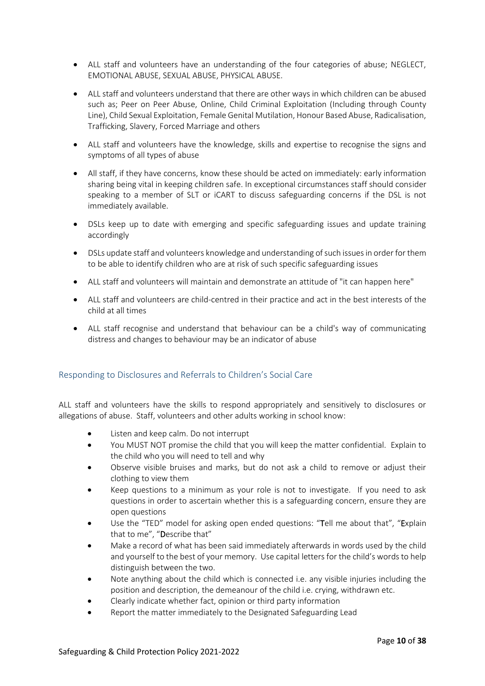- ALL staff and volunteers have an understanding of the four categories of abuse; NEGLECT, EMOTIONAL ABUSE, SEXUAL ABUSE, PHYSICAL ABUSE.
- ALL staff and volunteers understand that there are other ways in which children can be abused such as; Peer on Peer Abuse, Online, Child Criminal Exploitation (Including through County Line), Child Sexual Exploitation, Female Genital Mutilation, Honour Based Abuse, Radicalisation, Trafficking, Slavery, Forced Marriage and others
- ALL staff and volunteers have the knowledge, skills and expertise to recognise the signs and symptoms of all types of abuse
- All staff, if they have concerns, know these should be acted on immediately: early information sharing being vital in keeping children safe. In exceptional circumstances staff should consider speaking to a member of SLT or iCART to discuss safeguarding concerns if the DSL is not immediately available.
- DSLs keep up to date with emerging and specific safeguarding issues and update training accordingly
- DSLs update staff and volunteers knowledge and understanding of such issues in order for them to be able to identify children who are at risk of such specific safeguarding issues
- ALL staff and volunteers will maintain and demonstrate an attitude of "it can happen here"
- ALL staff and volunteers are child-centred in their practice and act in the best interests of the child at all times
- ALL staff recognise and understand that behaviour can be a child's way of communicating distress and changes to behaviour may be an indicator of abuse

#### <span id="page-9-0"></span>Responding to Disclosures and Referrals to Children's Social Care

ALL staff and volunteers have the skills to respond appropriately and sensitively to disclosures or allegations of abuse. Staff, volunteers and other adults working in school know:

- Listen and keep calm. Do not interrupt
- You MUST NOT promise the child that you will keep the matter confidential. Explain to the child who you will need to tell and why
- Observe visible bruises and marks, but do not ask a child to remove or adjust their clothing to view them
- Keep questions to a minimum as your role is not to investigate. If you need to ask questions in order to ascertain whether this is a safeguarding concern, ensure they are open questions
- Use the "TED" model for asking open ended questions: "Tell me about that", "Explain that to me", "Describe that"
- Make a record of what has been said immediately afterwards in words used by the child and yourself to the best of your memory. Use capital letters for the child's words to help distinguish between the two.
- Note anything about the child which is connected i.e. any visible injuries including the position and description, the demeanour of the child i.e. crying, withdrawn etc.
- Clearly indicate whether fact, opinion or third party information
- Report the matter immediately to the Designated Safeguarding Lead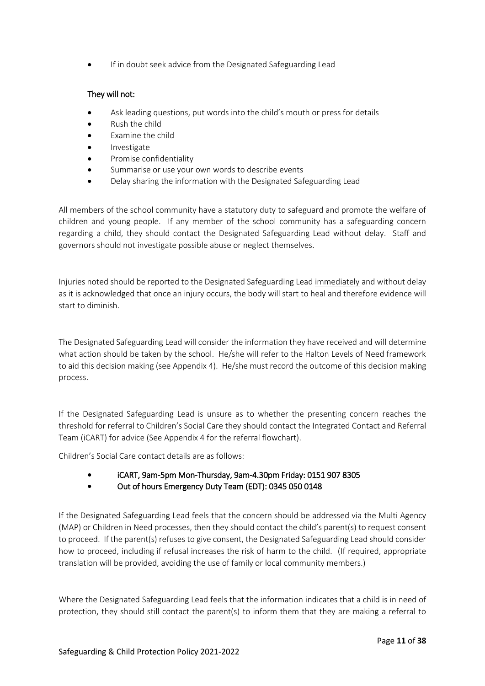If in doubt seek advice from the Designated Safeguarding Lead

#### They will not:

- Ask leading questions, put words into the child's mouth or press for details
- Rush the child
- Examine the child
- **Investigate**
- Promise confidentiality
- Summarise or use your own words to describe events
- Delay sharing the information with the Designated Safeguarding Lead

All members of the school community have a statutory duty to safeguard and promote the welfare of children and young people. If any member of the school community has a safeguarding concern regarding a child, they should contact the Designated Safeguarding Lead without delay. Staff and governors should not investigate possible abuse or neglect themselves.

Injuries noted should be reported to the Designated Safeguarding Lead immediately and without delay as it is acknowledged that once an injury occurs, the body will start to heal and therefore evidence will start to diminish.

The Designated Safeguarding Lead will consider the information they have received and will determine what action should be taken by the school. He/she will refer to the Halton Levels of Need framework to aid this decision making (see Appendix 4). He/she must record the outcome of this decision making process.

If the Designated Safeguarding Lead is unsure as to whether the presenting concern reaches the threshold for referral to Children's Social Care they should contact the Integrated Contact and Referral Team (iCART) for advice (See Appendix 4 for the referral flowchart).

Children's Social Care contact details are as follows:

- iCART, 9am-5pm Mon-Thursday, 9am-4.30pm Friday: 0151 907 8305
- Out of hours Emergency Duty Team (EDT): 0345 050 0148

If the Designated Safeguarding Lead feels that the concern should be addressed via the Multi Agency (MAP) or Children in Need processes, then they should contact the child's parent(s) to request consent to proceed. If the parent(s) refuses to give consent, the Designated Safeguarding Lead should consider how to proceed, including if refusal increases the risk of harm to the child. (If required, appropriate translation will be provided, avoiding the use of family or local community members.)

Where the Designated Safeguarding Lead feels that the information indicates that a child is in need of protection, they should still contact the parent(s) to inform them that they are making a referral to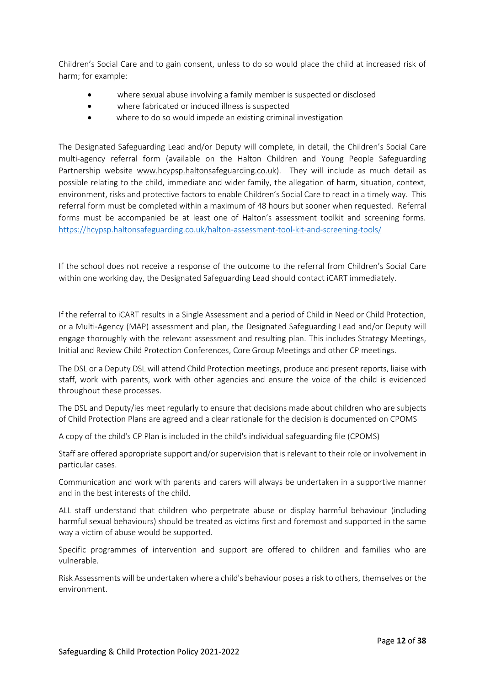Children's Social Care and to gain consent, unless to do so would place the child at increased risk of harm; for example:

- where sexual abuse involving a family member is suspected or disclosed
- where fabricated or induced illness is suspected
- where to do so would impede an existing criminal investigation

The Designated Safeguarding Lead and/or Deputy will complete, in detail, the Children's Social Care multi-agency referral form (available on the Halton Children and Young People Safeguarding Partnership website [www.hcypsp.haltonsafeguarding.co.uk\)](http://www.hcypsp.haltonsafeguarding.co.uk/). They will include as much detail as possible relating to the child, immediate and wider family, the allegation of harm, situation, context, environment, risks and protective factors to enable Children's Social Care to react in a timely way. This referral form must be completed within a maximum of 48 hours but sooner when requested. Referral forms must be accompanied be at least one of Halton's assessment toolkit and screening forms. <https://hcypsp.haltonsafeguarding.co.uk/halton-assessment-tool-kit-and-screening-tools/>

If the school does not receive a response of the outcome to the referral from Children's Social Care within one working day, the Designated Safeguarding Lead should contact iCART immediately.

If the referral to iCART results in a Single Assessment and a period of Child in Need or Child Protection, or a Multi-Agency (MAP) assessment and plan, the Designated Safeguarding Lead and/or Deputy will engage thoroughly with the relevant assessment and resulting plan. This includes Strategy Meetings, Initial and Review Child Protection Conferences, Core Group Meetings and other CP meetings.

The DSL or a Deputy DSL will attend Child Protection meetings, produce and present reports, liaise with staff, work with parents, work with other agencies and ensure the voice of the child is evidenced throughout these processes.

The DSL and Deputy/ies meet regularly to ensure that decisions made about children who are subjects of Child Protection Plans are agreed and a clear rationale for the decision is documented on CPOMS

A copy of the child's CP Plan is included in the child's individual safeguarding file (CPOMS)

Staff are offered appropriate support and/or supervision that is relevant to their role or involvement in particular cases.

Communication and work with parents and carers will always be undertaken in a supportive manner and in the best interests of the child.

ALL staff understand that children who perpetrate abuse or display harmful behaviour (including harmful sexual behaviours) should be treated as victims first and foremost and supported in the same way a victim of abuse would be supported.

Specific programmes of intervention and support are offered to children and families who are vulnerable.

Risk Assessments will be undertaken where a child's behaviour poses a risk to others, themselves or the environment.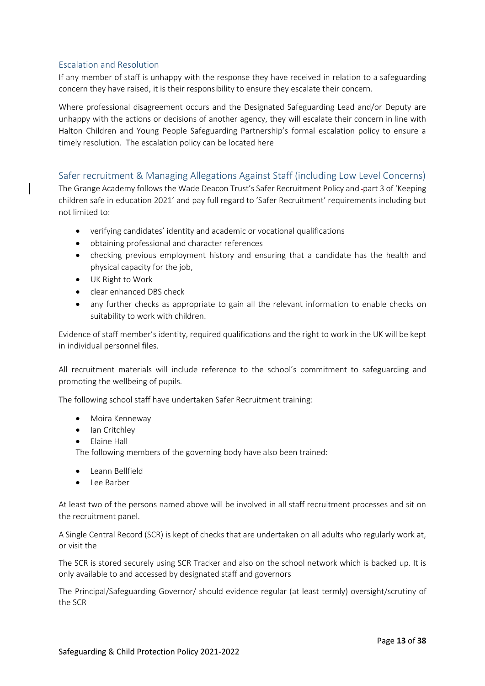#### <span id="page-12-0"></span>Escalation and Resolution

If any member of staff is unhappy with the response they have received in relation to a safeguarding concern they have raised, it is their responsibility to ensure they escalate their concern.

Where professional disagreement occurs and the Designated Safeguarding Lead and/or Deputy are unhappy with the actions or decisions of another agency, they will escalate their concern in line with Halton Children and Young People Safeguarding Partnership's formal escalation policy to ensure a timely resolution. [The escalation policy can be located here](https://www.proceduresonline.com/LimitedCMS_centrally_managed_content/pancheshire/shared_files/escalation_policy.pdf)

#### <span id="page-12-1"></span>Safer recruitment & Managing Allegations Against Staff (including Low Level Concerns)

The Grange Academy follows the Wade Deacon Trust's Safer Recruitment Policy and -part 3 of 'Keeping children safe in education 2021' and pay full regard to 'Safer Recruitment' requirements including but not limited to:

- verifying candidates' identity and academic or vocational qualifications
- obtaining professional and character references
- checking previous employment history and ensuring that a candidate has the health and physical capacity for the job,
- UK Right to Work
- clear enhanced DBS check
- any further checks as appropriate to gain all the relevant information to enable checks on suitability to work with children.

Evidence of staff member's identity, required qualifications and the right to work in the UK will be kept in individual personnel files.

All recruitment materials will include reference to the school's commitment to safeguarding and promoting the wellbeing of pupils.

The following school staff have undertaken Safer Recruitment training:

- Moira Kenneway
- Ian Critchley
- Elaine Hall

The following members of the governing body have also been trained:

- Leann Bellfield
- Lee Barber

At least two of the persons named above will be involved in all staff recruitment processes and sit on the recruitment panel.

A Single Central Record (SCR) is kept of checks that are undertaken on all adults who regularly work at, or visit the

The SCR is stored securely using SCR Tracker and also on the school network which is backed up. It is only available to and accessed by designated staff and governors

The Principal/Safeguarding Governor/ should evidence regular (at least termly) oversight/scrutiny of the SCR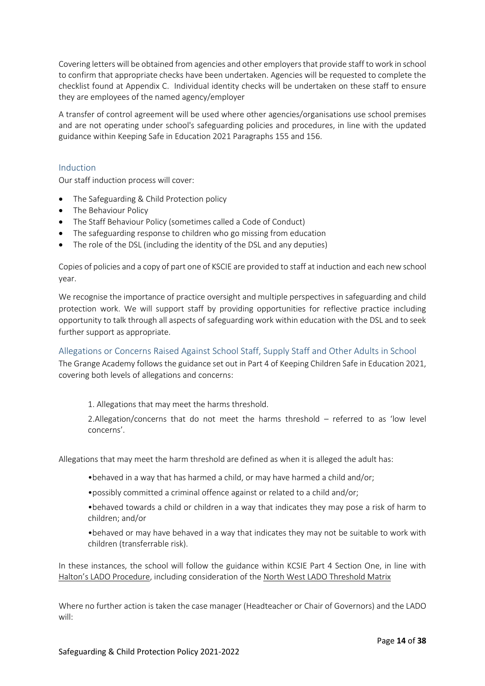Covering letters will be obtained from agencies and other employers that provide staff to work in school to confirm that appropriate checks have been undertaken. Agencies will be requested to complete the checklist found at Appendix C. Individual identity checks will be undertaken on these staff to ensure they are employees of the named agency/employer

A transfer of control agreement will be used where other agencies/organisations use school premises and are not operating under school's safeguarding policies and procedures, in line with the updated guidance within Keeping Safe in Education 2021 Paragraphs 155 and 156.

#### <span id="page-13-0"></span>Induction

Our staff induction process will cover:

- The Safeguarding & Child Protection policy
- The Behaviour Policy
- The Staff Behaviour Policy (sometimes called a Code of Conduct)
- The safeguarding response to children who go missing from education
- The role of the DSL (including the identity of the DSL and any deputies)

Copies of policies and a copy of part one of KSCIE are provided to staff at induction and each new school year.

We recognise the importance of practice oversight and multiple perspectives in safeguarding and child protection work. We will support staff by providing opportunities for reflective practice including opportunity to talk through all aspects of safeguarding work within education with the DSL and to seek further support as appropriate.

<span id="page-13-1"></span>Allegations or Concerns Raised Against School Staff, Supply Staff and Other Adults in School The Grange Academy follows the guidance set out in Part 4 of Keeping Children Safe in Education 2021, covering both levels of allegations and concerns:

1. Allegations that may meet the harms threshold.

2.Allegation/concerns that do not meet the harms threshold – referred to as 'low level concerns'.

Allegations that may meet the harm threshold are defined as when it is alleged the adult has:

- •behaved in a way that has harmed a child, or may have harmed a child and/or;
- •possibly committed a criminal offence against or related to a child and/or;
- •behaved towards a child or children in a way that indicates they may pose a risk of harm to children; and/or
- •behaved or may have behaved in a way that indicates they may not be suitable to work with children (transferrable risk).

In these instances, the school will follow the guidance within KCSIE Part 4 Section One, in line with [Halton's LADO Procedure](https://www.proceduresonline.com/pancheshire/halton/p_alleg_against_staff.html), including consideration of the [North West LADO Threshold Matrix](https://www.proceduresonline.com/pancheshire/halton/files/lado_threshold.pdf)

Where no further action is taken the case manager (Headteacher or Chair of Governors) and the LADO will: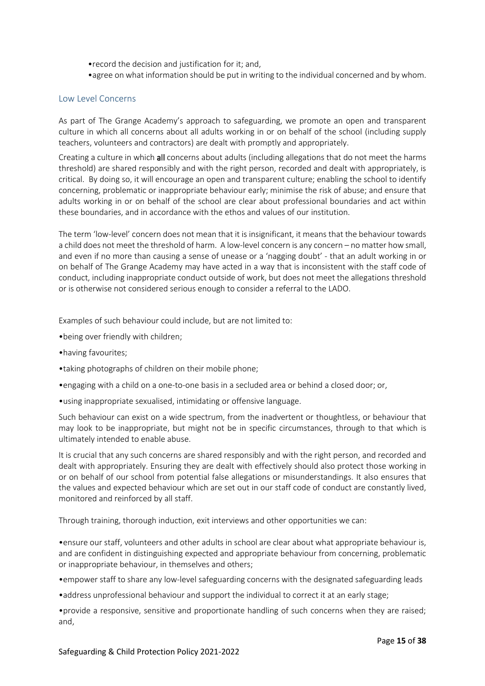- •record the decision and justification for it; and,
- •agree on what information should be put in writing to the individual concerned and by whom.

#### <span id="page-14-0"></span>Low Level Concerns

As part of The Grange Academy's approach to safeguarding, we promote an open and transparent culture in which all concerns about all adults working in or on behalf of the school (including supply teachers, volunteers and contractors) are dealt with promptly and appropriately.

Creating a culture in which all concerns about adults (including allegations that do not meet the harms threshold) are shared responsibly and with the right person, recorded and dealt with appropriately, is critical. By doing so, it will encourage an open and transparent culture; enabling the school to identify concerning, problematic or inappropriate behaviour early; minimise the risk of abuse; and ensure that adults working in or on behalf of the school are clear about professional boundaries and act within these boundaries, and in accordance with the ethos and values of our institution.

The term 'low-level' concern does not mean that it is insignificant, it means that the behaviour towards a child does not meet the threshold of harm. A low-level concern is any concern – no matter how small, and even if no more than causing a sense of unease or a 'nagging doubt' - that an adult working in or on behalf of The Grange Academy may have acted in a way that is inconsistent with the staff code of conduct, including inappropriate conduct outside of work, but does not meet the allegations threshold or is otherwise not considered serious enough to consider a referral to the LADO.

Examples of such behaviour could include, but are not limited to:

- •being over friendly with children;
- •having favourites;
- •taking photographs of children on their mobile phone;
- •engaging with a child on a one-to-one basis in a secluded area or behind a closed door; or,
- •using inappropriate sexualised, intimidating or offensive language.

Such behaviour can exist on a wide spectrum, from the inadvertent or thoughtless, or behaviour that may look to be inappropriate, but might not be in specific circumstances, through to that which is ultimately intended to enable abuse.

It is crucial that any such concerns are shared responsibly and with the right person, and recorded and dealt with appropriately. Ensuring they are dealt with effectively should also protect those working in or on behalf of our school from potential false allegations or misunderstandings. It also ensures that the values and expected behaviour which are set out in our staff code of conduct are constantly lived, monitored and reinforced by all staff.

Through training, thorough induction, exit interviews and other opportunities we can:

•ensure our staff, volunteers and other adults in school are clear about what appropriate behaviour is, and are confident in distinguishing expected and appropriate behaviour from concerning, problematic or inappropriate behaviour, in themselves and others;

•empower staff to share any low-level safeguarding concerns with the designated safeguarding leads

•address unprofessional behaviour and support the individual to correct it at an early stage;

•provide a responsive, sensitive and proportionate handling of such concerns when they are raised; and,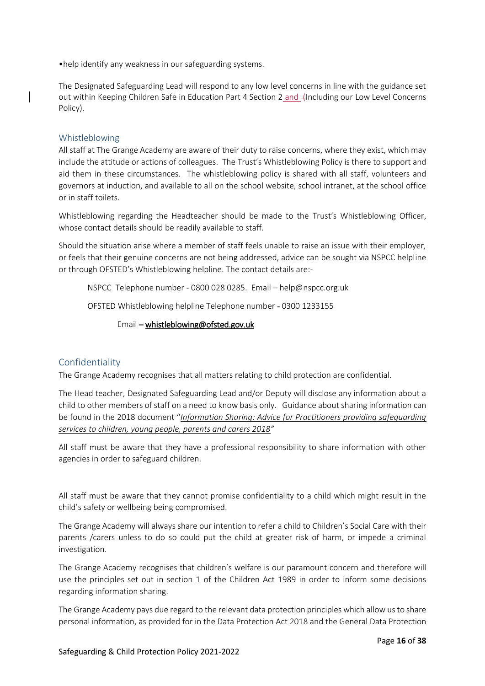•help identify any weakness in our safeguarding systems.

The Designated Safeguarding Lead will respond to any low level concerns in line with the guidance set out within Keeping Children Safe in Education Part 4 Section 2 and -(Including our Low Level Concerns Policy).

#### <span id="page-15-0"></span>Whistleblowing

All staff at The Grange Academy are aware of their duty to raise concerns, where they exist, which may include the attitude or actions of colleagues. The Trust's Whistleblowing Policy is there to support and aid them in these circumstances. The whistleblowing policy is shared with all staff, volunteers and governors at induction, and available to all on the school website, school intranet, at the school office or in staff toilets.

Whistleblowing regarding the Headteacher should be made to the Trust's Whistleblowing Officer, whose contact details should be readily available to staff.

Should the situation arise where a member of staff feels unable to raise an issue with their employer, or feels that their genuine concerns are not being addressed, advice can be sought via NSPCC helpline or through OFSTED's Whistleblowing helpline. The contact details are:-

NSPCC Telephone number - 0800 028 0285. Email – help@nspcc.org.uk

OFSTED Whistleblowing helpline Telephone number - 0300 1233155

#### Email – [whistleblowing@ofsted.gov.uk](mailto:whistleblowing@ofsted.gov.uk)

#### <span id="page-15-1"></span>Confidentiality

The Grange Academy recognises that all matters relating to child protection are confidential.

The Head teacher, Designated Safeguarding Lead and/or Deputy will disclose any information about a child to other members of staff on a need to know basis only. Guidance about sharing information can be found in the 2018 document "*[Information Sharing: Advice for Practitioners providing safeguarding](https://www.gov.uk/government/publications/safeguarding-practitioners-information-sharing-advice)  [services to children, young people, parents and carers 2018](https://www.gov.uk/government/publications/safeguarding-practitioners-information-sharing-advice)"*

All staff must be aware that they have a professional responsibility to share information with other agencies in order to safeguard children.

All staff must be aware that they cannot promise confidentiality to a child which might result in the child's safety or wellbeing being compromised.

The Grange Academy will always share our intention to refer a child to Children's Social Care with their parents /carers unless to do so could put the child at greater risk of harm, or impede a criminal investigation.

The Grange Academy recognises that children's welfare is our paramount concern and therefore will use the principles set out in section 1 of the Children Act 1989 in order to inform some decisions regarding information sharing.

The Grange Academy pays due regard to the relevant data protection principles which allow us to share personal information, as provided for in the Data Protection Act 2018 and the General Data Protection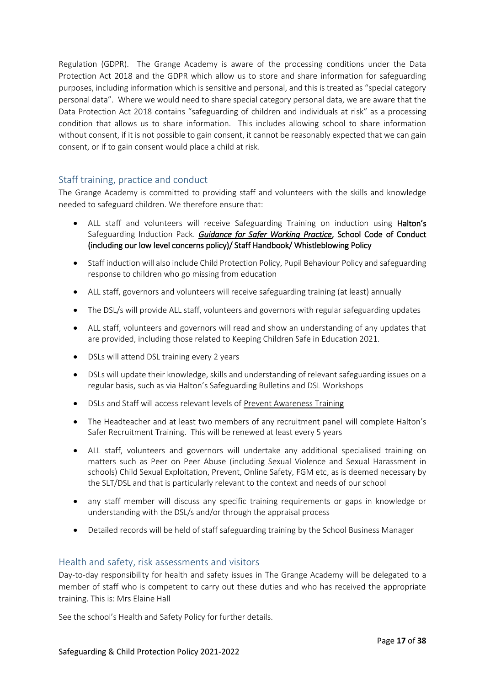Regulation (GDPR). The Grange Academy is aware of the processing conditions under the Data Protection Act 2018 and the GDPR which allow us to store and share information for safeguarding purposes, including information which is sensitive and personal, and this is treated as "special category personal data". Where we would need to share special category personal data, we are aware that the Data Protection Act 2018 contains "safeguarding of children and individuals at risk" as a processing condition that allows us to share information. This includes allowing school to share information without consent, if it is not possible to gain consent, it cannot be reasonably expected that we can gain consent, or if to gain consent would place a child at risk.

#### <span id="page-16-0"></span>Staff training, practice and conduct

The Grange Academy is committed to providing staff and volunteers with the skills and knowledge needed to safeguard children. We therefore ensure that:

- ALL staff and volunteers will receive Safeguarding Training on induction using Halton's Safeguarding Induction Pack. *[Guidance for Safer Working Practice](https://www.saferrecruitmentconsortium.org/GSWP%20COVID%20addendum%20April%202020%20final-1.pdf)*, School Code of Conduct (including our low level concerns policy)/ Staff Handbook/ Whistleblowing Policy
- Staff induction will also include Child Protection Policy, Pupil Behaviour Policy and safeguarding response to children who go missing from education
- ALL staff, governors and volunteers will receive safeguarding training (at least) annually
- The DSL/s will provide ALL staff, volunteers and governors with regular safeguarding updates
- ALL staff, volunteers and governors will read and show an understanding of any updates that are provided, including those related to Keeping Children Safe in Education 2021.
- DSLs will attend DSL training every 2 years
- DSLs will update their knowledge, skills and understanding of relevant safeguarding issues on a regular basis, such as via Halton's Safeguarding Bulletins and DSL Workshops
- DSLs and Staff will access relevant levels of [Prevent Awareness Training](https://www.elearning.prevent.homeoffice.gov.uk/edu/screen1.html)
- The Headteacher and at least two members of any recruitment panel will complete Halton's Safer Recruitment Training. This will be renewed at least every 5 years
- ALL staff, volunteers and governors will undertake any additional specialised training on matters such as Peer on Peer Abuse (including Sexual Violence and Sexual Harassment in schools) Child Sexual Exploitation, Prevent, Online Safety, FGM etc, as is deemed necessary by the SLT/DSL and that is particularly relevant to the context and needs of our school
- any staff member will discuss any specific training requirements or gaps in knowledge or understanding with the DSL/s and/or through the appraisal process
- Detailed records will be held of staff safeguarding training by the School Business Manager

#### <span id="page-16-1"></span>Health and safety, risk assessments and visitors

Day-to-day responsibility for health and safety issues in The Grange Academy will be delegated to a member of staff who is competent to carry out these duties and who has received the appropriate training. This is: Mrs Elaine Hall

See the school's Health and Safety Policy for further details.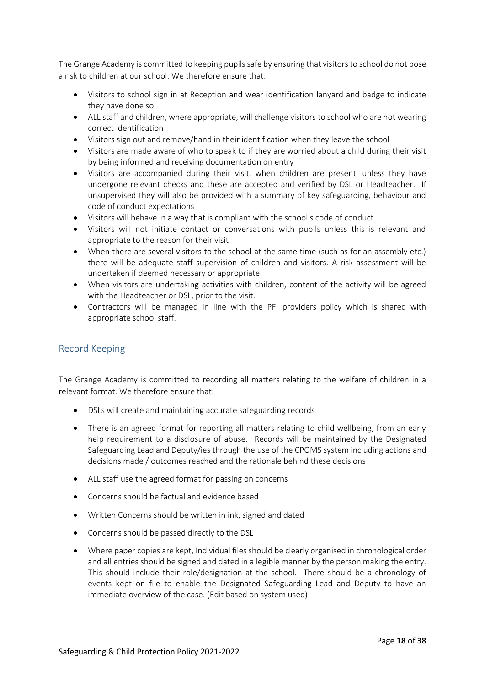The Grange Academy is committed to keeping pupils safe by ensuring that visitors to school do not pose a risk to children at our school. We therefore ensure that:

- Visitors to school sign in at Reception and wear identification lanyard and badge to indicate they have done so
- ALL staff and children, where appropriate, will challenge visitors to school who are not wearing correct identification
- Visitors sign out and remove/hand in their identification when they leave the school
- Visitors are made aware of who to speak to if they are worried about a child during their visit by being informed and receiving documentation on entry
- Visitors are accompanied during their visit, when children are present, unless they have undergone relevant checks and these are accepted and verified by DSL or Headteacher. If unsupervised they will also be provided with a summary of key safeguarding, behaviour and code of conduct expectations
- Visitors will behave in a way that is compliant with the school's code of conduct
- Visitors will not initiate contact or conversations with pupils unless this is relevant and appropriate to the reason for their visit
- When there are several visitors to the school at the same time (such as for an assembly etc.) there will be adequate staff supervision of children and visitors. A risk assessment will be undertaken if deemed necessary or appropriate
- When visitors are undertaking activities with children, content of the activity will be agreed with the Headteacher or DSL, prior to the visit.
- Contractors will be managed in line with the PFI providers policy which is shared with appropriate school staff.

#### <span id="page-17-0"></span>Record Keeping

The Grange Academy is committed to recording all matters relating to the welfare of children in a relevant format. We therefore ensure that:

- DSLs will create and maintaining accurate safeguarding records
- There is an agreed format for reporting all matters relating to child wellbeing, from an early help requirement to a disclosure of abuse. Records will be maintained by the Designated Safeguarding Lead and Deputy/ies through the use of the CPOMS system including actions and decisions made / outcomes reached and the rationale behind these decisions
- ALL staff use the agreed format for passing on concerns
- Concerns should be factual and evidence based
- Written Concerns should be written in ink, signed and dated
- Concerns should be passed directly to the DSL
- Where paper copies are kept, Individual files should be clearly organised in chronological order and all entries should be signed and dated in a legible manner by the person making the entry. This should include their role/designation at the school. There should be a chronology of events kept on file to enable the Designated Safeguarding Lead and Deputy to have an immediate overview of the case. (Edit based on system used)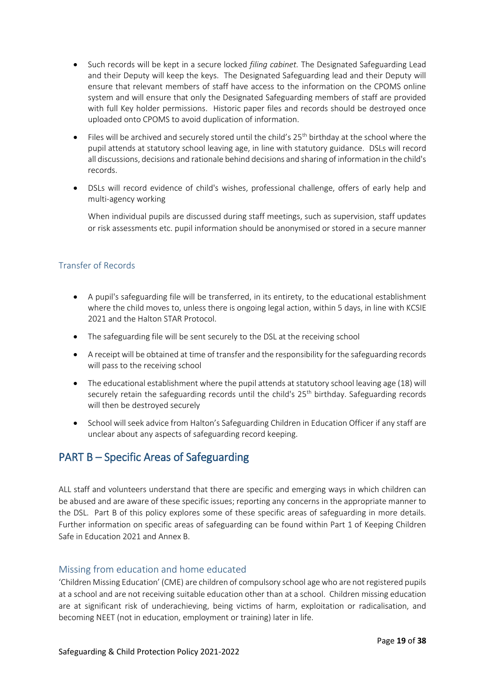- Such records will be kept in a secure locked *filing cabinet.* The Designated Safeguarding Lead and their Deputy will keep the keys. The Designated Safeguarding lead and their Deputy will ensure that relevant members of staff have access to the information on the CPOMS online system and will ensure that only the Designated Safeguarding members of staff are provided with full Key holder permissions. Historic paper files and records should be destroyed once uploaded onto CPOMS to avoid duplication of information.
- Files will be archived and securely stored until the child's 25<sup>th</sup> birthday at the school where the pupil attends at statutory school leaving age, in line with statutory guidance. DSLs will record all discussions, decisions and rationale behind decisions and sharing of information in the child's records.
- DSLs will record evidence of child's wishes, professional challenge, offers of early help and multi-agency working

When individual pupils are discussed during staff meetings, such as supervision, staff updates or risk assessments etc. pupil information should be anonymised or stored in a secure manner

#### <span id="page-18-0"></span>Transfer of Records

- A pupil's safeguarding file will be transferred, in its entirety, to the educational establishment where the child moves to, unless there is ongoing legal action, within 5 days, in line with KCSIE 2021 and the Halton STAR Protocol.
- The safeguarding file will be sent securely to the DSL at the receiving school
- A receipt will be obtained at time of transfer and the responsibility for the safeguarding records will pass to the receiving school
- The educational establishment where the pupil attends at statutory school leaving age (18) will securely retain the safeguarding records until the child's  $25<sup>th</sup>$  birthday. Safeguarding records will then be destroyed securely
- School will seek advice from Halton's Safeguarding Children in Education Officer if any staff are unclear about any aspects of safeguarding record keeping.

# <span id="page-18-1"></span>PART B – Specific Areas of Safeguarding

ALL staff and volunteers understand that there are specific and emerging ways in which children can be abused and are aware of these specific issues; reporting any concerns in the appropriate manner to the DSL. Part B of this policy explores some of these specific areas of safeguarding in more details. Further information on specific areas of safeguarding can be found within Part 1 of Keeping Children Safe in Education 2021 and Annex B.

#### <span id="page-18-2"></span>Missing from education and home educated

'Children Missing Education' (CME) are children of compulsory school age who are not registered pupils at a school and are not receiving suitable education other than at a school. Children missing education are at significant risk of underachieving, being victims of harm, exploitation or radicalisation, and becoming NEET (not in education, employment or training) later in life.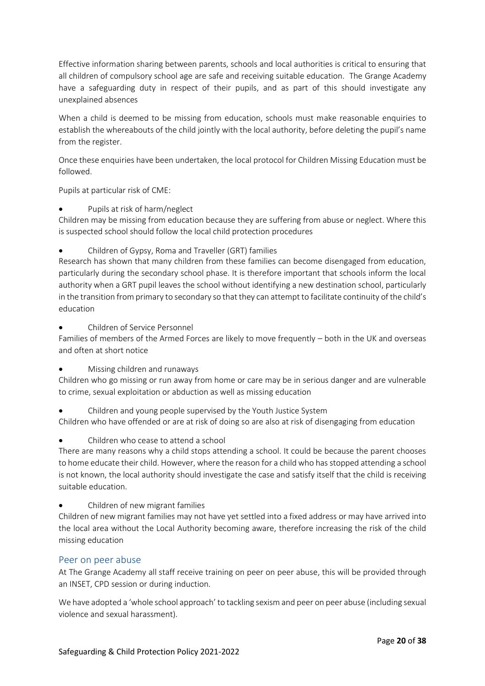Effective information sharing between parents, schools and local authorities is critical to ensuring that all children of compulsory school age are safe and receiving suitable education. The Grange Academy have a safeguarding duty in respect of their pupils, and as part of this should investigate any unexplained absences

When a child is deemed to be missing from education, schools must make reasonable enquiries to establish the whereabouts of the child jointly with the local authority, before deleting the pupil's name from the register.

Once these enquiries have been undertaken, the local protocol for Children Missing Education must be followed.

Pupils at particular risk of CME:

• Pupils at risk of harm/neglect

Children may be missing from education because they are suffering from abuse or neglect. Where this is suspected school should follow the local child protection procedures

• Children of Gypsy, Roma and Traveller (GRT) families

Research has shown that many children from these families can become disengaged from education, particularly during the secondary school phase. It is therefore important that schools inform the local authority when a GRT pupil leaves the school without identifying a new destination school, particularly in the transition from primary to secondary so that they can attempt to facilitate continuity of the child's education

• Children of Service Personnel

Families of members of the Armed Forces are likely to move frequently – both in the UK and overseas and often at short notice

• Missing children and runaways

Children who go missing or run away from home or care may be in serious danger and are vulnerable to crime, sexual exploitation or abduction as well as missing education

• Children and young people supervised by the Youth Justice System

Children who have offended or are at risk of doing so are also at risk of disengaging from education

• Children who cease to attend a school

There are many reasons why a child stops attending a school. It could be because the parent chooses to home educate their child. However, where the reason for a child who has stopped attending a school is not known, the local authority should investigate the case and satisfy itself that the child is receiving suitable education.

• Children of new migrant families

Children of new migrant families may not have yet settled into a fixed address or may have arrived into the local area without the Local Authority becoming aware, therefore increasing the risk of the child missing education

#### <span id="page-19-0"></span>Peer on peer abuse

At The Grange Academy all staff receive training on peer on peer abuse, this will be provided through an INSET, CPD session or during induction.

We have adopted a 'whole school approach' to tackling sexism and peer on peer abuse (including sexual violence and sexual harassment).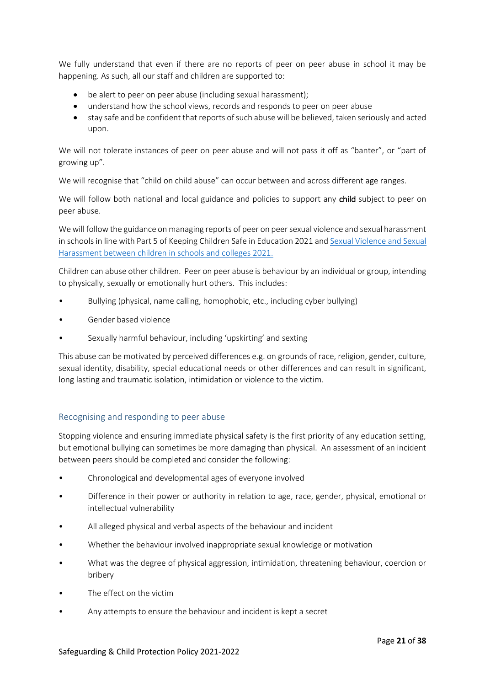We fully understand that even if there are no reports of peer on peer abuse in school it may be happening. As such, all our staff and children are supported to:

- be alert to peer on peer abuse (including sexual harassment);
- understand how the school views, records and responds to peer on peer abuse
- stay safe and be confident that reports of such abuse will be believed, taken seriously and acted upon.

We will not tolerate instances of peer on peer abuse and will not pass it off as "banter", or "part of growing up".

We will recognise that "child on child abuse" can occur between and across different age ranges.

We will follow both national and local guidance and policies to support any child subject to peer on peer abuse.

We will follow the guidance on managing reports of peer on peer sexual violence and sexual harassment in schools in line with Part 5 of Keeping Children Safe in Education 2021 an[d Sexual Violence and Sexual](https://www.gov.uk/government/publications/sexual-violence-and-sexual-harassment-between-children-in-schools-and-colleges)  [Harassment between children in schools and colleges 2021.](https://www.gov.uk/government/publications/sexual-violence-and-sexual-harassment-between-children-in-schools-and-colleges)

Children can abuse other children. Peer on peer abuse is behaviour by an individual or group, intending to physically, sexually or emotionally hurt others. This includes:

- Bullying (physical, name calling, homophobic, etc., including cyber bullying)
- Gender based violence
- Sexually harmful behaviour, including 'upskirting' and sexting

This abuse can be motivated by perceived differences e.g. on grounds of race, religion, gender, culture, sexual identity, disability, special educational needs or other differences and can result in significant, long lasting and traumatic isolation, intimidation or violence to the victim.

#### Recognising and responding to peer abuse

Stopping violence and ensuring immediate physical safety is the first priority of any education setting, but emotional bullying can sometimes be more damaging than physical. An assessment of an incident between peers should be completed and consider the following:

- Chronological and developmental ages of everyone involved
- Difference in their power or authority in relation to age, race, gender, physical, emotional or intellectual vulnerability
- All alleged physical and verbal aspects of the behaviour and incident
- Whether the behaviour involved inappropriate sexual knowledge or motivation
- What was the degree of physical aggression, intimidation, threatening behaviour, coercion or bribery
- The effect on the victim
- Any attempts to ensure the behaviour and incident is kept a secret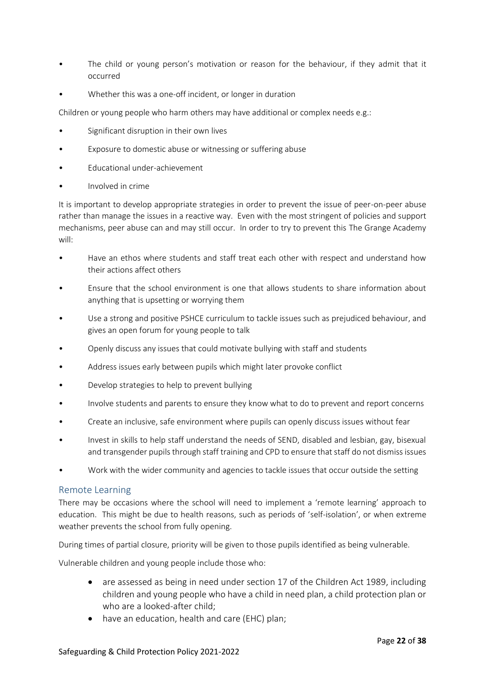- The child or young person's motivation or reason for the behaviour, if they admit that it occurred
- Whether this was a one-off incident, or longer in duration

Children or young people who harm others may have additional or complex needs e.g.:

- Significant disruption in their own lives
- Exposure to domestic abuse or witnessing or suffering abuse
- Educational under-achievement
- Involved in crime

It is important to develop appropriate strategies in order to prevent the issue of peer-on-peer abuse rather than manage the issues in a reactive way. Even with the most stringent of policies and support mechanisms, peer abuse can and may still occur. In order to try to prevent this The Grange Academy will:

- Have an ethos where students and staff treat each other with respect and understand how their actions affect others
- Ensure that the school environment is one that allows students to share information about anything that is upsetting or worrying them
- Use a strong and positive PSHCE curriculum to tackle issues such as prejudiced behaviour, and gives an open forum for young people to talk
- Openly discuss any issues that could motivate bullying with staff and students
- Address issues early between pupils which might later provoke conflict
- Develop strategies to help to prevent bullying
- Involve students and parents to ensure they know what to do to prevent and report concerns
- Create an inclusive, safe environment where pupils can openly discuss issues without fear
- Invest in skills to help staff understand the needs of SEND, disabled and lesbian, gay, bisexual and transgender pupils through staff training and CPD to ensure that staff do not dismiss issues
- Work with the wider community and agencies to tackle issues that occur outside the setting

#### <span id="page-21-0"></span>Remote Learning

There may be occasions where the school will need to implement a 'remote learning' approach to education. This might be due to health reasons, such as periods of 'self-isolation', or when extreme weather prevents the school from fully opening.

During times of partial closure, priority will be given to those pupils identified as being vulnerable.

Vulnerable children and young people include those who:

- are assessed as being in need under section 17 of the Children Act 1989, including children and young people who have a child in need plan, a child protection plan or who are a looked-after child;
- have an education, health and care (EHC) plan;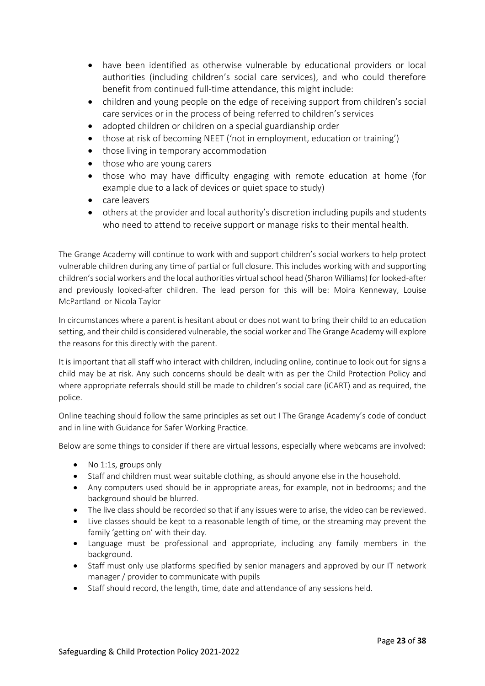- have been identified as otherwise vulnerable by educational providers or local authorities (including children's social care services), and who could therefore benefit from continued full-time attendance, this might include:
- children and young people on the edge of receiving support from children's social care services or in the process of being referred to children's services
- adopted children or children on a special guardianship order
- those at risk of becoming NEET ('not in employment, education or training')
- those living in temporary accommodation
- those who are young carers
- those who may have difficulty engaging with remote education at home (for example due to a lack of devices or quiet space to study)
- care leavers
- others at the provider and local authority's discretion including pupils and students who need to attend to receive support or manage risks to their mental health.

The Grange Academy will continue to work with and support children's social workers to help protect vulnerable children during any time of partial or full closure. This includes working with and supporting children's social workers and the local authorities virtual school head (Sharon Williams) for looked-after and previously looked-after children. The lead person for this will be: Moira Kenneway, Louise McPartland or Nicola Taylor

In circumstances where a parent is hesitant about or does not want to bring their child to an education setting, and their child is considered vulnerable, the social worker and The Grange Academy will explore the reasons for this directly with the parent.

It is important that all staff who interact with children, including online, continue to look out for signs a child may be at risk. Any such concerns should be dealt with as per the Child Protection Policy and where appropriate referrals should still be made to children's social care (iCART) and as required, the police.

Online teaching should follow the same principles as set out I The Grange Academy's code of conduct and in line with Guidance for Safer Working Practice.

Below are some things to consider if there are virtual lessons, especially where webcams are involved:

- No 1:1s, groups only
- Staff and children must wear suitable clothing, as should anyone else in the household.
- Any computers used should be in appropriate areas, for example, not in bedrooms; and the background should be blurred.
- The live class should be recorded so that if any issues were to arise, the video can be reviewed.
- Live classes should be kept to a reasonable length of time, or the streaming may prevent the family 'getting on' with their day.
- Language must be professional and appropriate, including any family members in the background.
- Staff must only use platforms specified by senior managers and approved by our IT network manager / provider to communicate with pupils
- Staff should record, the length, time, date and attendance of any sessions held.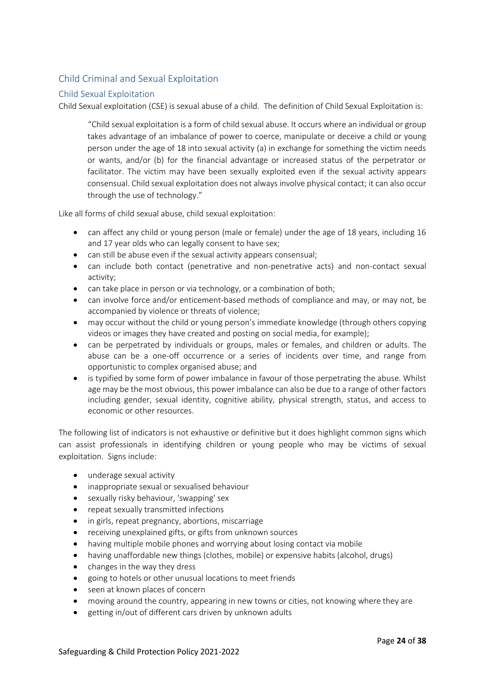# <span id="page-23-0"></span>Child Criminal and Sexual Exploitation

#### <span id="page-23-1"></span>Child Sexual Exploitation

Child Sexual exploitation (CSE) is sexual abuse of a child. The definition of Child Sexual Exploitation is:

"Child sexual exploitation is a form of child sexual abuse. It occurs where an individual or group takes advantage of an imbalance of power to coerce, manipulate or deceive a child or young person under the age of 18 into sexual activity (a) in exchange for something the victim needs or wants, and/or (b) for the financial advantage or increased status of the perpetrator or facilitator. The victim may have been sexually exploited even if the sexual activity appears consensual. Child sexual exploitation does not always involve physical contact; it can also occur through the use of technology."

Like all forms of child sexual abuse, child sexual exploitation:

- can affect any child or young person (male or female) under the age of 18 years, including 16 and 17 year olds who can legally consent to have sex;
- can still be abuse even if the sexual activity appears consensual;
- can include both contact (penetrative and non-penetrative acts) and non-contact sexual activity;
- can take place in person or via technology, or a combination of both;
- can involve force and/or enticement-based methods of compliance and may, or may not, be accompanied by violence or threats of violence;
- may occur without the child or young person's immediate knowledge (through others copying videos or images they have created and posting on social media, for example);
- can be perpetrated by individuals or groups, males or females, and children or adults. The abuse can be a one-off occurrence or a series of incidents over time, and range from opportunistic to complex organised abuse; and
- is typified by some form of power imbalance in favour of those perpetrating the abuse. Whilst age may be the most obvious, this power imbalance can also be due to a range of other factors including gender, sexual identity, cognitive ability, physical strength, status, and access to economic or other resources.

The following list of indicators is not exhaustive or definitive but it does highlight common signs which can assist professionals in identifying children or young people who may be victims of sexual exploitation. Signs include:

- underage sexual activity
- inappropriate sexual or sexualised behaviour
- sexually risky behaviour, 'swapping' sex
- repeat sexually transmitted infections
- in girls, repeat pregnancy, abortions, miscarriage
- receiving unexplained gifts, or gifts from unknown sources
- having multiple mobile phones and worrying about losing contact via mobile
- having unaffordable new things (clothes, mobile) or expensive habits (alcohol, drugs)
- changes in the way they dress
- going to hotels or other unusual locations to meet friends
- seen at known places of concern
- moving around the country, appearing in new towns or cities, not knowing where they are
- getting in/out of different cars driven by unknown adults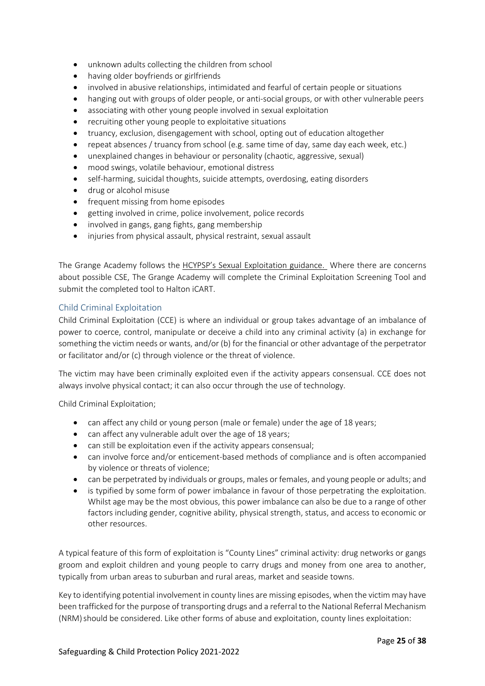- unknown adults collecting the children from school
- having older boyfriends or girlfriends
- involved in abusive relationships, intimidated and fearful of certain people or situations
- hanging out with groups of older people, or anti-social groups, or with other vulnerable peers
- associating with other young people involved in sexual exploitation
- recruiting other young people to exploitative situations
- truancy, exclusion, disengagement with school, opting out of education altogether
- repeat absences / truancy from school (e.g. same time of day, same day each week, etc.)
- unexplained changes in behaviour or personality (chaotic, aggressive, sexual)
- mood swings, volatile behaviour, emotional distress
- self-harming, suicidal thoughts, suicide attempts, overdosing, eating disorders
- drug or alcohol misuse
- frequent missing from home episodes
- getting involved in crime, police involvement, police records
- involved in gangs, gang fights, gang membership
- injuries from physical assault, physical restraint, sexual assault

The Grange Academy follows the [HCYPSP's Sexual Exploitation guidance.](https://hcypsp.haltonsafeguarding.co.uk/child-sexual-exploitation-2/) Where there are concerns about possible CSE, The Grange Academy will complete the Criminal Exploitation Screening Tool and submit the completed tool to Halton iCART.

#### <span id="page-24-0"></span>Child Criminal Exploitation

Child Criminal Exploitation (CCE) is where an individual or group takes advantage of an imbalance of power to coerce, control, manipulate or deceive a child into any criminal activity (a) in exchange for something the victim needs or wants, and/or (b) for the financial or other advantage of the perpetrator or facilitator and/or (c) through violence or the threat of violence.

The victim may have been criminally exploited even if the activity appears consensual. CCE does not always involve physical contact; it can also occur through the use of technology.

Child Criminal Exploitation;

- can affect any child or young person (male or female) under the age of 18 years;
- can affect any vulnerable adult over the age of 18 years;
- can still be exploitation even if the activity appears consensual:
- can involve force and/or enticement-based methods of compliance and is often accompanied by violence or threats of violence;
- can be perpetrated by individuals or groups, males or females, and young people or adults; and
- is typified by some form of power imbalance in favour of those perpetrating the exploitation. Whilst age may be the most obvious, this power imbalance can also be due to a range of other factors including gender, cognitive ability, physical strength, status, and access to economic or other resources.

A typical feature of this form of exploitation is "County Lines" criminal activity: drug networks or gangs groom and exploit children and young people to carry drugs and money from one area to another, typically from urban areas to suburban and rural areas, market and seaside towns.

Key to identifying potential involvement in county lines are missing episodes, when the victim may have been trafficked for the purpose of transporting drugs and a referral to the National Referral Mechanism (NRM) should be considered. Like other forms of abuse and exploitation, county lines exploitation: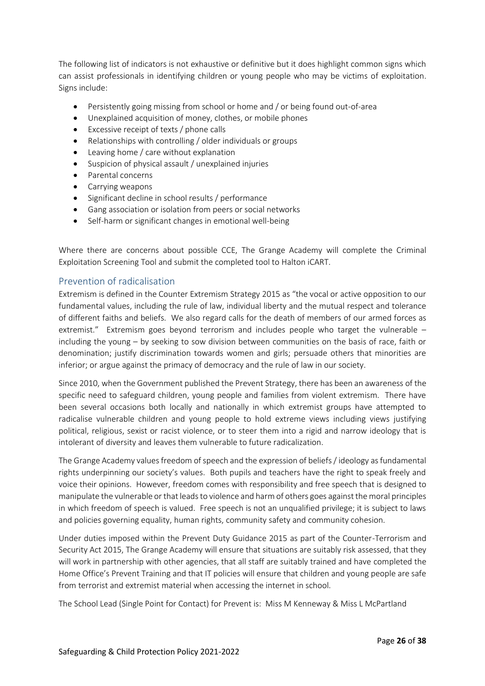The following list of indicators is not exhaustive or definitive but it does highlight common signs which can assist professionals in identifying children or young people who may be victims of exploitation. Signs include:

- Persistently going missing from school or home and / or being found out-of-area
- Unexplained acquisition of money, clothes, or mobile phones
- Excessive receipt of texts / phone calls
- Relationships with controlling / older individuals or groups
- Leaving home / care without explanation
- Suspicion of physical assault / unexplained injuries
- Parental concerns
- Carrying weapons
- Significant decline in school results / performance
- Gang association or isolation from peers or social networks
- Self-harm or significant changes in emotional well-being

Where there are concerns about possible CCE, The Grange Academy will complete the Criminal Exploitation Screening Tool and submit the completed tool to Halton iCART.

#### <span id="page-25-0"></span>Prevention of radicalisation

Extremism is defined in the Counter Extremism Strategy 2015 as "the vocal or active opposition to our fundamental values, including the rule of law, individual liberty and the mutual respect and tolerance of different faiths and beliefs. We also regard calls for the death of members of our armed forces as extremist." Extremism goes beyond terrorism and includes people who target the vulnerable – including the young – by seeking to sow division between communities on the basis of race, faith or denomination; justify discrimination towards women and girls; persuade others that minorities are inferior; or argue against the primacy of democracy and the rule of law in our society.

Since 2010, when the Government published the Prevent Strategy, there has been an awareness of the specific need to safeguard children, young people and families from violent extremism. There have been several occasions both locally and nationally in which extremist groups have attempted to radicalise vulnerable children and young people to hold extreme views including views justifying political, religious, sexist or racist violence, or to steer them into a rigid and narrow ideology that is intolerant of diversity and leaves them vulnerable to future radicalization.

The Grange Academy values freedom of speech and the expression of beliefs / ideology as fundamental rights underpinning our society's values. Both pupils and teachers have the right to speak freely and voice their opinions. However, freedom comes with responsibility and free speech that is designed to manipulate the vulnerable or that leads to violence and harm of others goes against the moral principles in which freedom of speech is valued. Free speech is not an unqualified privilege; it is subject to laws and policies governing equality, human rights, community safety and community cohesion.

Under duties imposed within the Prevent Duty Guidance 2015 as part of the Counter-Terrorism and Security Act 2015, The Grange Academy will ensure that situations are suitably risk assessed, that they will work in partnership with other agencies, that all staff are suitably trained and have completed the Home Office's Prevent Training and that IT policies will ensure that children and young people are safe from terrorist and extremist material when accessing the internet in school.

The School Lead (Single Point for Contact) for Prevent is: Miss M Kenneway & Miss L McPartland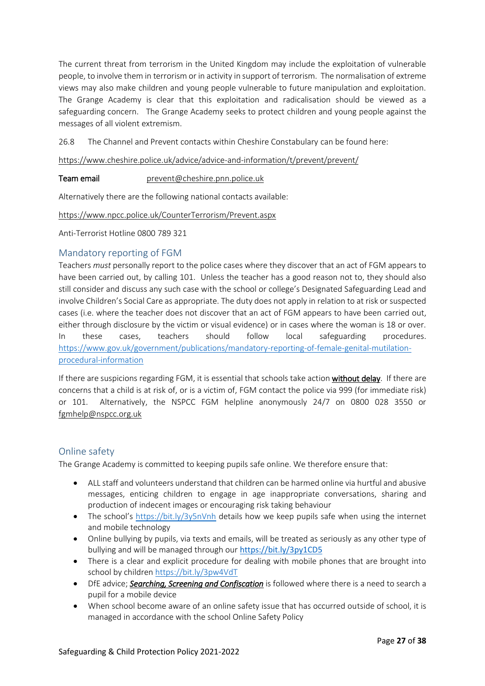The current threat from terrorism in the United Kingdom may include the exploitation of vulnerable people, to involve them in terrorism or in activity in support of terrorism. The normalisation of extreme views may also make children and young people vulnerable to future manipulation and exploitation. The Grange Academy is clear that this exploitation and radicalisation should be viewed as a safeguarding concern. The Grange Academy seeks to protect children and young people against the messages of all violent extremism.

26.8 The Channel and Prevent contacts within Cheshire Constabulary can be found here:

<https://www.cheshire.police.uk/advice/advice-and-information/t/prevent/prevent/>

#### Team email [prevent@cheshire.pnn.police.uk](mailto:prevent@cheshire.pnn.police.uk)

Alternatively there are the following national contacts available:

#### <https://www.npcc.police.uk/CounterTerrorism/Prevent.aspx>

Anti-Terrorist Hotline 0800 789 321

#### <span id="page-26-0"></span>Mandatory reporting of FGM

Teachers *must* personally report to the police cases where they discover that an act of FGM appears to have been carried out, by calling 101. Unless the teacher has a good reason not to, they should also still consider and discuss any such case with the school or college's Designated Safeguarding Lead and involve Children's Social Care as appropriate. The duty does not apply in relation to at risk or suspected cases (i.e. where the teacher does not discover that an act of FGM appears to have been carried out, either through disclosure by the victim or visual evidence) or in cases where the woman is 18 or over. In these cases, teachers should follow local safeguarding procedures. [https://www.gov.uk/government/publications/mandatory-reporting-of-female-genital-mutilation](https://www.gov.uk/government/publications/mandatory-reporting-of-female-genital-mutilation-procedural-information)[procedural-information](https://www.gov.uk/government/publications/mandatory-reporting-of-female-genital-mutilation-procedural-information)

If there are suspicions regarding FGM, it is essential that schools take action without delay. If there are concerns that a child is at risk of, or is a victim of, FGM contact the police via 999 (for immediate risk) or 101. Alternatively, the NSPCC FGM helpline anonymously 24/7 on 0800 028 3550 or [fgmhelp@nspcc.org.uk](mailto:fgmhelp@nspcc.org.uk)

#### <span id="page-26-1"></span>Online safety

The Grange Academy is committed to keeping pupils safe online. We therefore ensure that:

- ALL staff and volunteers understand that children can be harmed online via hurtful and abusive messages, enticing children to engage in age inappropriate conversations, sharing and production of indecent images or encouraging risk taking behaviour
- The school's <https://bit.ly/3y5nVnh> details how we keep pupils safe when using the internet and mobile technology
- Online bullying by pupils, via texts and emails, will be treated as seriously as any other type of bullying and will be managed through our <https://bit.ly/3py1CD5>
- There is a clear and explicit procedure for dealing with mobile phones that are brought into school by children <https://bit.ly/3pw4VdT>
- DfE advice; *[Searching, Screening and Confiscation](https://www.gov.uk/government/publications/searching-screening-and-confiscation)* is followed where there is a need to search a pupil for a mobile device
- When school become aware of an online safety issue that has occurred outside of school, it is managed in accordance with the school Online Safety Policy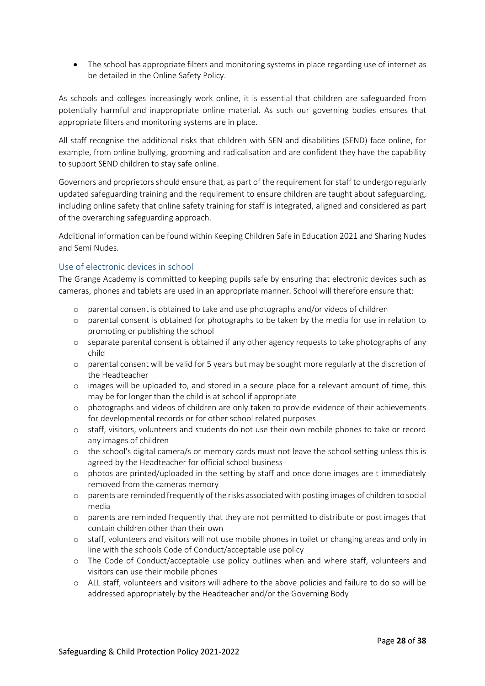• The school has appropriate filters and monitoring systems in place regarding use of internet as be detailed in the Online Safety Policy.

As schools and colleges increasingly work online, it is essential that children are safeguarded from potentially harmful and inappropriate online material. As such our governing bodies ensures that appropriate filters and monitoring systems are in place.

All staff recognise the additional risks that children with SEN and disabilities (SEND) face online, for example, from online bullying, grooming and radicalisation and are confident they have the capability to support SEND children to stay safe online.

Governors and proprietors should ensure that, as part of the requirement for staff to undergo regularly updated safeguarding training and the requirement to ensure children are taught about safeguarding, including online safety that online safety training for staff is integrated, aligned and considered as part of the overarching safeguarding approach.

Additional information can be found within Keeping Children Safe in Education 2021 and Sharing Nudes and Semi Nudes.

#### <span id="page-27-0"></span>Use of electronic devices in school

The Grange Academy is committed to keeping pupils safe by ensuring that electronic devices such as cameras, phones and tablets are used in an appropriate manner. School will therefore ensure that:

- o parental consent is obtained to take and use photographs and/or videos of children
- o parental consent is obtained for photographs to be taken by the media for use in relation to promoting or publishing the school
- o separate parental consent is obtained if any other agency requests to take photographs of any child
- o parental consent will be valid for 5 years but may be sought more regularly at the discretion of the Headteacher
- o images will be uploaded to, and stored in a secure place for a relevant amount of time, this may be for longer than the child is at school if appropriate
- o photographs and videos of children are only taken to provide evidence of their achievements for developmental records or for other school related purposes
- o staff, visitors, volunteers and students do not use their own mobile phones to take or record any images of children
- o the school's digital camera/s or memory cards must not leave the school setting unless this is agreed by the Headteacher for official school business
- o photos are printed/uploaded in the setting by staff and once done images are t immediately removed from the cameras memory
- o parents are reminded frequently of the risks associated with posting images of children to social media
- o parents are reminded frequently that they are not permitted to distribute or post images that contain children other than their own
- o staff, volunteers and visitors will not use mobile phones in toilet or changing areas and only in line with the schools Code of Conduct/acceptable use policy
- o The Code of Conduct/acceptable use policy outlines when and where staff, volunteers and visitors can use their mobile phones
- o ALL staff, volunteers and visitors will adhere to the above policies and failure to do so will be addressed appropriately by the Headteacher and/or the Governing Body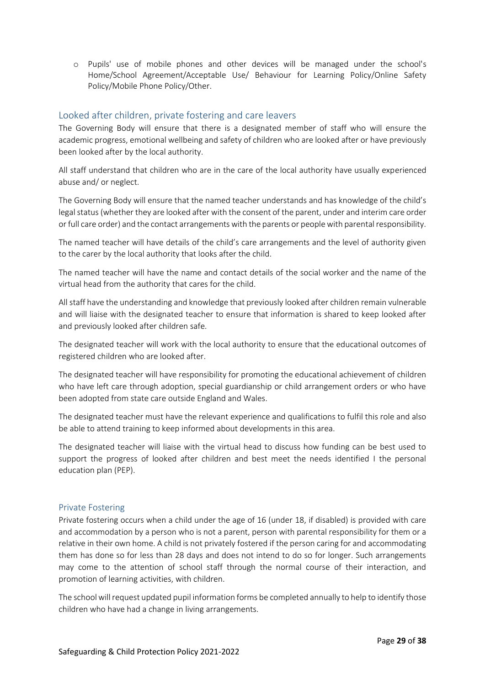o Pupils' use of mobile phones and other devices will be managed under the school's Home/School Agreement/Acceptable Use/ Behaviour for Learning Policy/Online Safety Policy/Mobile Phone Policy/Other.

### <span id="page-28-0"></span>Looked after children, private fostering and care leavers

The Governing Body will ensure that there is a designated member of staff who will ensure the academic progress, emotional wellbeing and safety of children who are looked after or have previously been looked after by the local authority.

All staff understand that children who are in the care of the local authority have usually experienced abuse and/ or neglect.

The Governing Body will ensure that the named teacher understands and has knowledge of the child's legal status (whether they are looked after with the consent of the parent, under and interim care order or full care order) and the contact arrangements with the parents or people with parental responsibility.

The named teacher will have details of the child's care arrangements and the level of authority given to the carer by the local authority that looks after the child.

The named teacher will have the name and contact details of the social worker and the name of the virtual head from the authority that cares for the child.

All staff have the understanding and knowledge that previously looked after children remain vulnerable and will liaise with the designated teacher to ensure that information is shared to keep looked after and previously looked after children safe.

The designated teacher will work with the local authority to ensure that the educational outcomes of registered children who are looked after.

The designated teacher will have responsibility for promoting the educational achievement of children who have left care through adoption, special guardianship or child arrangement orders or who have been adopted from state care outside England and Wales.

The designated teacher must have the relevant experience and qualifications to fulfil this role and also be able to attend training to keep informed about developments in this area.

The designated teacher will liaise with the virtual head to discuss how funding can be best used to support the progress of looked after children and best meet the needs identified I the personal education plan (PEP).

#### <span id="page-28-1"></span>Private Fostering

Private fostering occurs when a child under the age of 16 (under 18, if disabled) is provided with care and accommodation by a person who is not a parent, person with parental responsibility for them or a relative in their own home. A child is not privately fostered if the person caring for and accommodating them has done so for less than 28 days and does not intend to do so for longer. Such arrangements may come to the attention of school staff through the normal course of their interaction, and promotion of learning activities, with children.

The school will request updated pupil information forms be completed annually to help to identify those children who have had a change in living arrangements.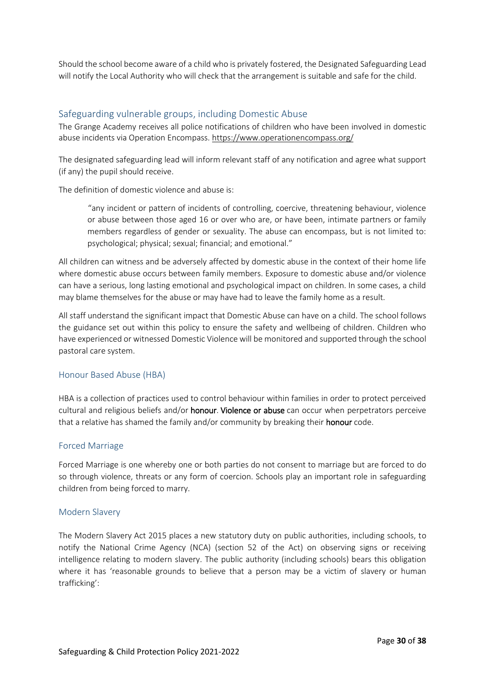Should the school become aware of a child who is privately fostered, the Designated Safeguarding Lead will notify the Local Authority who will check that the arrangement is suitable and safe for the child.

#### <span id="page-29-0"></span>Safeguarding vulnerable groups, including Domestic Abuse

The Grange Academy receives all police notifications of children who have been involved in domestic abuse incidents via Operation Encompass.<https://www.operationencompass.org/>

The designated safeguarding lead will inform relevant staff of any notification and agree what support (if any) the pupil should receive.

The definition of domestic violence and abuse is:

"any incident or pattern of incidents of controlling, coercive, threatening behaviour, violence or abuse between those aged 16 or over who are, or have been, intimate partners or family members regardless of gender or sexuality. The abuse can encompass, but is not limited to: psychological; physical; sexual; financial; and emotional."

All children can witness and be adversely affected by domestic abuse in the context of their home life where domestic abuse occurs between family members. Exposure to domestic abuse and/or violence can have a serious, long lasting emotional and psychological impact on children. In some cases, a child may blame themselves for the abuse or may have had to leave the family home as a result.

All staff understand the significant impact that Domestic Abuse can have on a child. The school follows the guidance set out within this policy to ensure the safety and wellbeing of children. Children who have experienced or witnessed Domestic Violence will be monitored and supported through the school pastoral care system.

#### Honour Based Abuse (HBA)

HBA is a collection of practices used to control behaviour within families in order to protect perceived cultural and religious beliefs and/or **honour. Violence or abuse** can occur when perpetrators perceive that a relative has shamed the family and/or community by breaking their honour code.

#### Forced Marriage

Forced Marriage is one whereby one or both parties do not consent to marriage but are forced to do so through violence, threats or any form of coercion. Schools play an important role in safeguarding children from being forced to marry.

#### Modern Slavery

The Modern Slavery Act 2015 places a new statutory duty on public authorities, including schools, to notify the National Crime Agency (NCA) (section 52 of the Act) on observing signs or receiving intelligence relating to modern slavery. The public authority (including schools) bears this obligation where it has 'reasonable grounds to believe that a person may be a victim of slavery or human trafficking':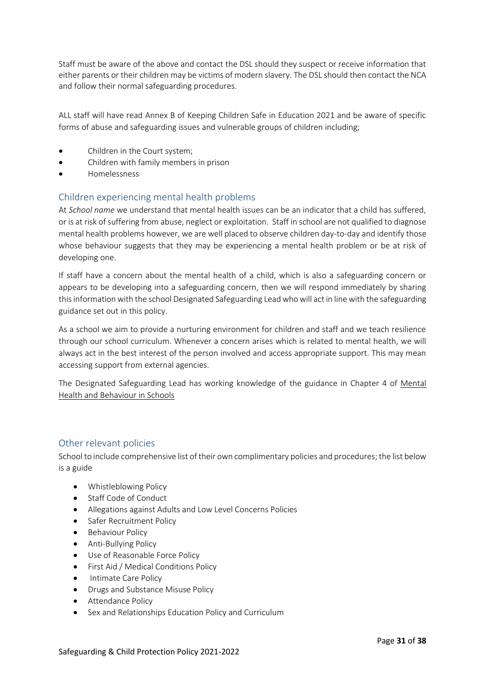Staff must be aware of the above and contact the DSL should they suspect or receive information that either parents or their children may be victims of modern slavery. The DSL should then contact the NCA and follow their normal safeguarding procedures.

ALL staff will have read Annex B of Keeping Children Safe in Education 2021 and be aware of specific forms of abuse and safeguarding issues and vulnerable groups of children including;

- Children in the Court system;
- Children with family members in prison
- Homelessness

#### <span id="page-30-0"></span>Children experiencing mental health problems

At *School name* we understand that mental health issues can be an indicator that a child has suffered, or is at risk of suffering from abuse, neglect or exploitation. Staff in school are not qualified to diagnose mental health problems however, we are well placed to observe children day-to-day and identify those whose behaviour suggests that they may be experiencing a mental health problem or be at risk of developing one.

If staff have a concern about the mental health of a child, which is also a safeguarding concern or appears to be developing into a safeguarding concern, then we will respond immediately by sharing this information with the school Designated Safeguarding Lead who will act in line with the safeguarding guidance set out in this policy.

As a school we aim to provide a nurturing environment for children and staff and we teach resilience through our school curriculum. Whenever a concern arises which is related to mental health, we will always act in the best interest of the person involved and access appropriate support. This may mean accessing support from external agencies.

The Designated Safeguarding Lead has working knowledge of the guidance in Chapter 4 of [Mental](https://www.gov.uk/government/publications/mental-health-and-behaviour-in-schools--2)  [Health and Behaviour in Schools](https://www.gov.uk/government/publications/mental-health-and-behaviour-in-schools--2)

#### <span id="page-30-1"></span>Other relevant policies

School to include comprehensive list of their own complimentary policies and procedures; the list below is a guide

- Whistleblowing Policy
- Staff Code of Conduct
- Allegations against Adults and Low Level Concerns Policies
- Safer Recruitment Policy
- Behaviour Policy
- Anti-Bullying Policy
- Use of Reasonable Force Policy
- First Aid / Medical Conditions Policy
- Intimate Care Policy
- Drugs and Substance Misuse Policy
- Attendance Policy
- Sex and Relationships Education Policy and Curriculum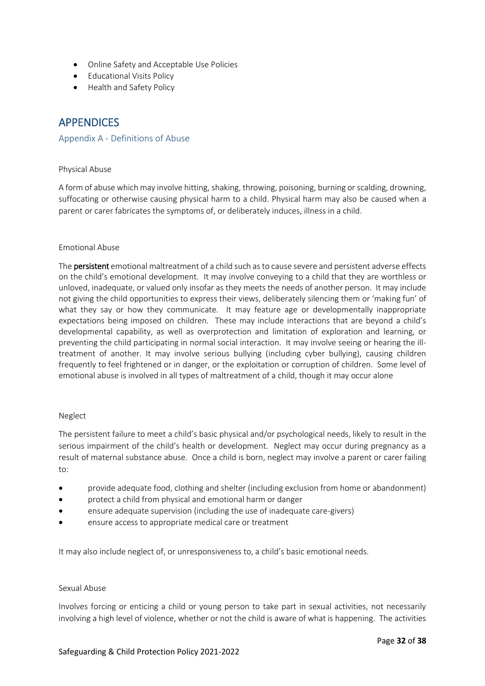- Online Safety and Acceptable Use Policies
- Educational Visits Policy
- Health and Safety Policy

# <span id="page-31-0"></span>APPENDICES

#### <span id="page-31-1"></span>Appendix A - Definitions of Abuse

#### Physical Abuse

A form of abuse which may involve hitting, shaking, throwing, poisoning, burning or scalding, drowning, suffocating or otherwise causing physical harm to a child. Physical harm may also be caused when a parent or carer fabricates the symptoms of, or deliberately induces, illness in a child.

#### Emotional Abuse

The **persistent** emotional maltreatment of a child such as to cause severe and persistent adverse effects on the child's emotional development. It may involve conveying to a child that they are worthless or unloved, inadequate, or valued only insofar as they meets the needs of another person. It may include not giving the child opportunities to express their views, deliberately silencing them or 'making fun' of what they say or how they communicate. It may feature age or developmentally inappropriate expectations being imposed on children. These may include interactions that are beyond a child's developmental capability, as well as overprotection and limitation of exploration and learning, or preventing the child participating in normal social interaction. It may involve seeing or hearing the illtreatment of another. It may involve serious bullying (including cyber bullying), causing children frequently to feel frightened or in danger, or the exploitation or corruption of children. Some level of emotional abuse is involved in all types of maltreatment of a child, though it may occur alone

#### Neglect

The persistent failure to meet a child's basic physical and/or psychological needs, likely to result in the serious impairment of the child's health or development. Neglect may occur during pregnancy as a result of maternal substance abuse. Once a child is born, neglect may involve a parent or carer failing to:

- provide adequate food, clothing and shelter (including exclusion from home or abandonment)
- protect a child from physical and emotional harm or danger
- ensure adequate supervision (including the use of inadequate care-givers)
- ensure access to appropriate medical care or treatment

It may also include neglect of, or unresponsiveness to, a child's basic emotional needs.

#### Sexual Abuse

Involves forcing or enticing a child or young person to take part in sexual activities, not necessarily involving a high level of violence, whether or not the child is aware of what is happening. The activities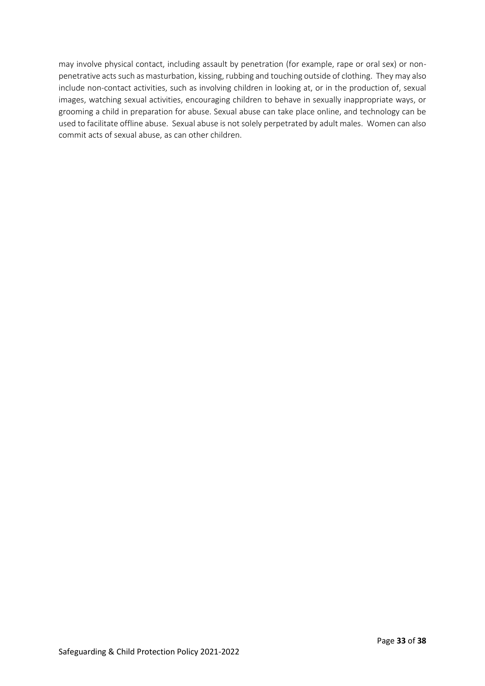may involve physical contact, including assault by penetration (for example, rape or oral sex) or nonpenetrative acts such as masturbation, kissing, rubbing and touching outside of clothing. They may also include non-contact activities, such as involving children in looking at, or in the production of, sexual images, watching sexual activities, encouraging children to behave in sexually inappropriate ways, or grooming a child in preparation for abuse. Sexual abuse can take place online, and technology can be used to facilitate offline abuse. Sexual abuse is not solely perpetrated by adult males. Women can also commit acts of sexual abuse, as can other children.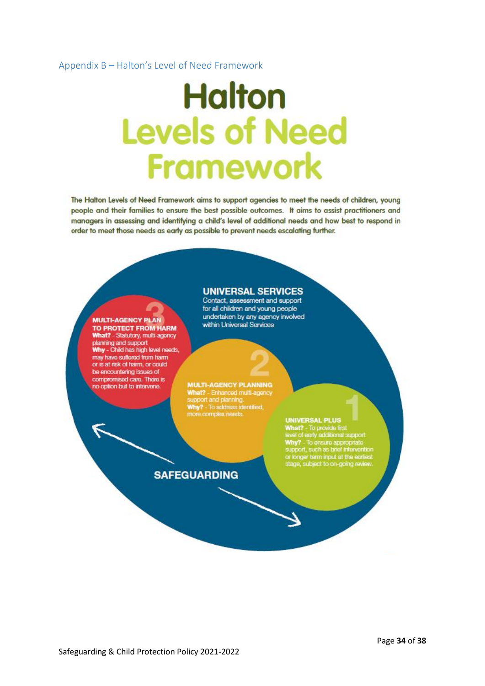#### <span id="page-33-0"></span>Appendix B – Halton's Level of Need Framework

**MULTI-AGENCY PLAN** 

no option but to intervene.

TO PROTECT FROM HARM What? - Statutory, multi-agency planning and support<br>Why - Child has high level needs, may have suffered from harm or is at risk of harm, or could be encountering issues of compromised care. There is

# **Halton Levels of Need Framework**

The Halton Levels of Need Framework aims to support agencies to meet the needs of children, young people and their families to ensure the best possible outcomes. It aims to assist practitioners and managers in assessing and identifying a child's level of additional needs and how best to respond in order to meet those needs as early as possible to prevent needs escalating further.

#### **UNIVERSAL SERVICES**

Contact, assessment and support for all children and young people undertaken by any agency involved within Universal Services

**MULTI-AGENCY PLANNING**<br>What? - Enhanced multi-agency<br>support and planning. Why? - To address identified,<br>more complex needs.

# **SAFEGUARDING**

#### **UNIVERSAL PLUS**

UNIVERSAL PLUS<br>
What? - To provide first<br>
level of early additional support<br>
Why? - To ensure appropriate<br>
support, such as brief intervention<br>
or longer term input at the earliest<br>
stage, subject to on-going review.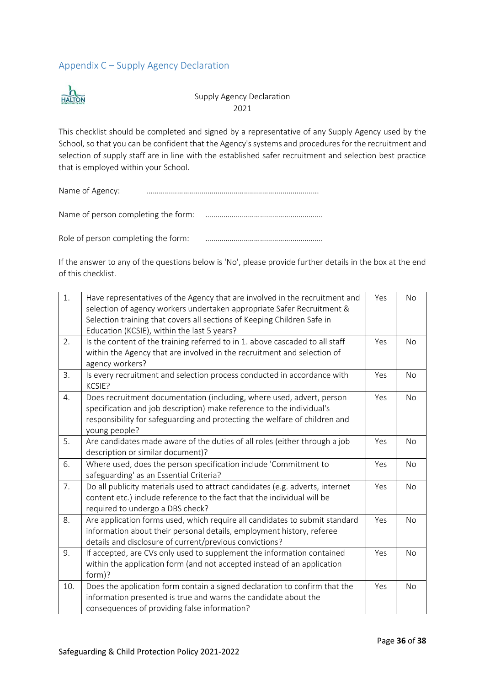# <span id="page-35-0"></span>Appendix C – Supply Agency Declaration



Supply Agency Declaration 2021

This checklist should be completed and signed by a representative of any Supply Agency used by the School, so that you can be confident that the Agency's systems and procedures for the recruitment and selection of supply staff are in line with the established safer recruitment and selection best practice that is employed within your School.

Name of Agency: ………………………………………………………………………….

Name of person completing the form: ………………………………………………….

Role of person completing the form: ………………………………………………….

If the answer to any of the questions below is 'No', please provide further details in the box at the end of this checklist.

| 1.  | Have representatives of the Agency that are involved in the recruitment and<br>selection of agency workers undertaken appropriate Safer Recruitment &<br>Selection training that covers all sections of Keeping Children Safe in<br>Education (KCSIE), within the last 5 years? | Yes | No        |
|-----|---------------------------------------------------------------------------------------------------------------------------------------------------------------------------------------------------------------------------------------------------------------------------------|-----|-----------|
| 2.  | Is the content of the training referred to in 1. above cascaded to all staff<br>within the Agency that are involved in the recruitment and selection of<br>agency workers?                                                                                                      | Yes | <b>No</b> |
| 3.  | Is every recruitment and selection process conducted in accordance with<br>KCSIE?                                                                                                                                                                                               | Yes | No        |
| 4.  | Does recruitment documentation (including, where used, advert, person<br>specification and job description) make reference to the individual's<br>responsibility for safeguarding and protecting the welfare of children and<br>young people?                                   | Yes | No        |
| 5.  | Are candidates made aware of the duties of all roles (either through a job<br>description or similar document)?                                                                                                                                                                 | Yes | No        |
| 6.  | Where used, does the person specification include 'Commitment to<br>safeguarding' as an Essential Criteria?                                                                                                                                                                     | Yes | No        |
| 7.  | Do all publicity materials used to attract candidates (e.g. adverts, internet<br>content etc.) include reference to the fact that the individual will be<br>required to undergo a DBS check?                                                                                    | Yes | No        |
| 8.  | Are application forms used, which require all candidates to submit standard<br>information about their personal details, employment history, referee<br>details and disclosure of current/previous convictions?                                                                 | Yes | No        |
| 9.  | If accepted, are CVs only used to supplement the information contained<br>within the application form (and not accepted instead of an application<br>form)?                                                                                                                     | Yes | No        |
| 10. | Does the application form contain a signed declaration to confirm that the<br>information presented is true and warns the candidate about the<br>consequences of providing false information?                                                                                   | Yes | No        |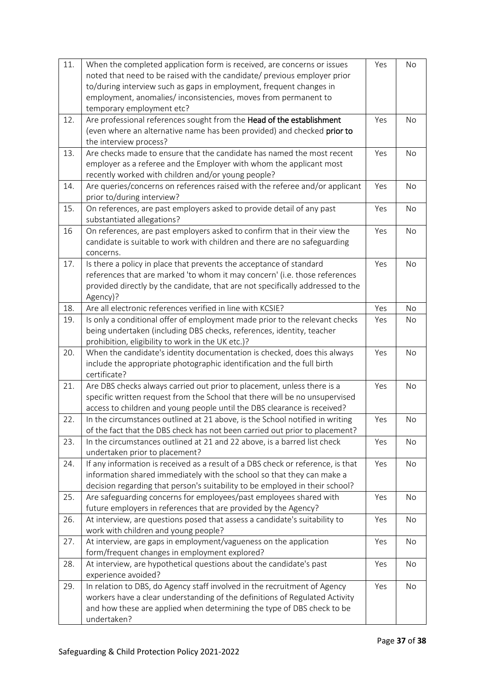| 11. | When the completed application form is received, are concerns or issues<br>noted that need to be raised with the candidate/ previous employer prior<br>to/during interview such as gaps in employment, frequent changes in<br>employment, anomalies/inconsistencies, moves from permanent to<br>temporary employment etc? | Yes | No        |
|-----|---------------------------------------------------------------------------------------------------------------------------------------------------------------------------------------------------------------------------------------------------------------------------------------------------------------------------|-----|-----------|
| 12. | Are professional references sought from the Head of the establishment<br>(even where an alternative name has been provided) and checked prior to<br>the interview process?                                                                                                                                                | Yes | No        |
| 13. | Are checks made to ensure that the candidate has named the most recent<br>employer as a referee and the Employer with whom the applicant most<br>recently worked with children and/or young people?                                                                                                                       | Yes | No        |
| 14. | Are queries/concerns on references raised with the referee and/or applicant<br>prior to/during interview?                                                                                                                                                                                                                 | Yes | No        |
| 15. | On references, are past employers asked to provide detail of any past<br>substantiated allegations?                                                                                                                                                                                                                       | Yes | No        |
| 16  | On references, are past employers asked to confirm that in their view the<br>candidate is suitable to work with children and there are no safeguarding<br>concerns.                                                                                                                                                       | Yes | No        |
| 17. | Is there a policy in place that prevents the acceptance of standard<br>references that are marked 'to whom it may concern' (i.e. those references<br>provided directly by the candidate, that are not specifically addressed to the<br>Agency)?                                                                           | Yes | No        |
| 18. | Are all electronic references verified in line with KCSIE?                                                                                                                                                                                                                                                                | Yes | No        |
| 19. | Is only a conditional offer of employment made prior to the relevant checks<br>being undertaken (including DBS checks, references, identity, teacher<br>prohibition, eligibility to work in the UK etc.)?                                                                                                                 | Yes | No        |
| 20. | When the candidate's identity documentation is checked, does this always<br>include the appropriate photographic identification and the full birth<br>certificate?                                                                                                                                                        | Yes | No        |
| 21. | Are DBS checks always carried out prior to placement, unless there is a<br>specific written request from the School that there will be no unsupervised<br>access to children and young people until the DBS clearance is received?                                                                                        | Yes | No        |
| 22. | In the circumstances outlined at 21 above, is the School notified in writing<br>of the fact that the DBS check has not been carried out prior to placement?                                                                                                                                                               | Yes | No        |
| 23. | In the circumstances outlined at 21 and 22 above, is a barred list check<br>undertaken prior to placement?                                                                                                                                                                                                                | Yes | No        |
| 24. | If any information is received as a result of a DBS check or reference, is that<br>information shared immediately with the school so that they can make a<br>decision regarding that person's suitability to be employed in their school?                                                                                 | Yes | No        |
| 25. | Are safeguarding concerns for employees/past employees shared with<br>future employers in references that are provided by the Agency?                                                                                                                                                                                     | Yes | No        |
| 26. | At interview, are questions posed that assess a candidate's suitability to<br>work with children and young people?                                                                                                                                                                                                        | Yes | No        |
| 27. | At interview, are gaps in employment/vagueness on the application<br>form/frequent changes in employment explored?                                                                                                                                                                                                        | Yes | <b>No</b> |
| 28. | At interview, are hypothetical questions about the candidate's past<br>experience avoided?                                                                                                                                                                                                                                | Yes | No        |
| 29. | In relation to DBS, do Agency staff involved in the recruitment of Agency<br>workers have a clear understanding of the definitions of Regulated Activity<br>and how these are applied when determining the type of DBS check to be<br>undertaken?                                                                         | Yes | <b>No</b> |